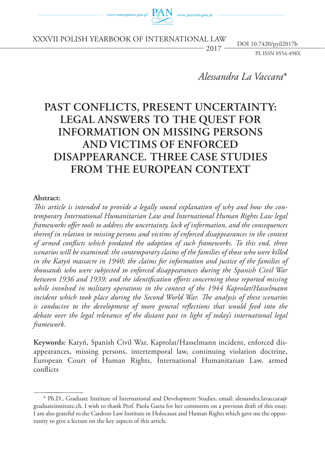

XXXVIi POLISH Yearbook of international law

 $2017 \frac{1000 \text{ pL B01} / 5}{\text{PL BSN } 0554-498 \text{X}}$ DOI 10.7420/pyil2017b

*Alessandra La Vaccara*\*

# **Past Conflicts, Present Uncertainty: Legal Answers to the Quest for Information on Missing Persons and Victims of Enforced Disappearance. Three Case Studies from the European Context**

#### **Abstract:**

*This article is intended to provide a legally sound explanation of why and how the contemporary International Humanitarian Law and International Human Rights Law legal frameworks offer tools to address the uncertainty, lack of information, and the consequences thereof in relation to missing persons and victims of enforced disappearances in the context of armed conflicts which predated the adoption of such frameworks. To this end, three scenarios will be examined: the contemporary claims of the families of those who were killed in the Katyń massacre in 1940; the claims for information and justice of the families of thousands who were subjected to enforced disappearances during the Spanish Civil War between 1936 and 1939; and the identification efforts concerning those reported missing while involved in military operations in the context of the 1944 Kaprolat/Hasselmann incident which took place during the Second World War. The analysis of these scenarios*  is conducive to the development of more general reflections that would feed into the *debate over the legal relevance of the distant past in light of today's international legal framework.* 

**Keywords:** Katyń, Spanish Civil War, Kaprolat/Hasselmann incident, enforced disappearances, missing persons, intertemporal law, continuing violation doctrine, European Court of Human Rights, International Humanitarian Law, armed conflicts

<sup>\*</sup> Ph.D., Graduate Institute of International and Development Studies, email: alessandra.lavaccara@ graduateinstitute.ch. I wish to thank Prof. Paola Gaeta for her comments on a previous draft of this essay. I am also grateful to the Cardozo Law Institute in Holocaust and Human Rights which gave me the opportunity to give a lecture on the key aspects of this article.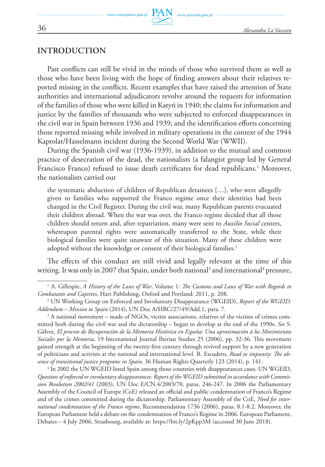### **Introduction**

Past conflicts can still be vivid in the minds of those who survived them as well as those who have been living with the hope of finding answers about their relatives reported missing in the conflicts. Recent examples that have raised the attention of State authorities and international adjudicators revolve around the requests for information of the families of those who were killed in Katyń in 1940; the claims for information and justice by the families of thousands who were subjected to enforced disappearances in the civil war in Spain between 1936 and 1939; and the identification efforts concerning those reported missing while involved in military operations in the context of the 1944 Kaprolat/Hasselmann incident during the Second World War (WWII).

During the Spanish civil war (1936-1939), in addition to the mutual and common practice of desecration of the dead, the nationalists (a falangist group led by General Francisco Franco) refused to issue death certificates for dead republicans.<sup>1</sup> Moreover, the nationalists carried out

the systematic abduction of children of Republican detainees […], who were allegedly given to families who supported the Franco regime once their identities had been changed in the Civil Register. During the civil war, many Republican parents evacuated their children abroad. When the war was over, the Franco regime decided that all those children should return and, after repatriation, many were sent to *Auxilio Social* centers, whereupon parental rights were automatically transferred to the State, while their biological families were quite unaware of this situation. Many of these children were adopted without the knowledge or consent of their biological families.<sup>2</sup>

The effects of this conduct are still vivid and legally relevant at the time of this writing. It was only in 2007 that Spain, under both national<sup>3</sup> and international<sup>4</sup> pressure,

<sup>1</sup> A. Gillespie, *A History of the Laws of War*, Volume 1: *The Customs and Laws of War with Regards to Combatants and Captives*, Hart Publishing, Oxford and Portland: 2011, p. 208.

<sup>2</sup> UN Working Group on Enforced and Involuntary Disappearance (WGEID), *Report of the WGEID. Addendum – Mission to Spain* (2014), UN Doc A/HRC/27/49/Add.1, para. 7.

<sup>&</sup>lt;sup>3</sup> A national movement – made of NGOs, victim associations, relatives of the victims of crimes committed both during the civil war and the dictatorship – began to develop at the end of the 1990s. *See* S. Gàlvez, *El proceso de Recuperación de la Memoria Histórica en España: Una aproximación à los Movimientos Sociales por la Memoria*, 19 International Journal Iberian Studies 25 (2006), pp. 32-36. This movement gained strength at the beginning of the twenty-first century through revived support by a new generation of politicians and activists at the national and international level. R. Escudero, *Road to impunity: The absence of transitional justice programs in Spain*, 36 Human Rights Quarterly 123 (2014), p. 141.

<sup>4</sup> In 2002 the UN WGEID listed Spain among those countries with disappearances cases. UN WGEID, *Question of enforced or involuntary disappearances: Report of the WGEID submitted in accordance with Commission Resolution 2002/41* (2003), UN Doc E/CN.4/2003/70, paras. 246-247. In 2006 the Parliamentary Assembly of the Council of Europe (CoE) released an official and public condemnation of Franco's Regime and of the crimes committed during the dictatorship. Parliamentary Assembly of the CoE, *Need for international condemnation of the Franco regime*, Recommendation 1736 (2006), paras. 8.1-8.2. Moreover, the European Parliament held a debate on the condemnation of Franco's Regime in 2006. European Parliament, Debates – 4 July 2006, Strasbourg, available at: https://bit.ly/2pKpp3M (accessed 30 June 2018).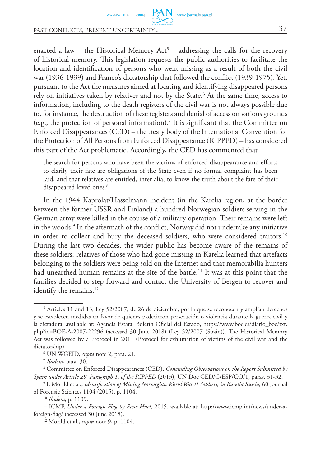# PAST CONFLICTS, PRESENT UNCERTAINTY...

enacted a law – the Historical Memory  $Act^5$  – addressing the calls for the recovery of historical memory. This legislation requests the public authorities to facilitate the location and identification of persons who went missing as a result of both the civil war (1936-1939) and Franco's dictatorship that followed the conflict (1939-1975). Yet, pursuant to the Act the measures aimed at locating and identifying disappeared persons rely on initiatives taken by relatives and not by the State.6 At the same time, access to information, including to the death registers of the civil war is not always possible due to, for instance, the destruction of these registers and denial of access on various grounds (e.g., the protection of personal information).7 It is significant that the Committee on Enforced Disappearances (CED) – the treaty body of the International Convention for the Protection of All Persons from Enforced Disappearance (ICPPED) – has considered this part of the Act problematic. Accordingly, the CED has commented that

www.journals.pan.pl

the search for persons who have been the victims of enforced disappearance and efforts to clarify their fate are obligations of the State even if no formal complaint has been laid, and that relatives are entitled, inter alia, to know the truth about the fate of their disappeared loved ones.<sup>8</sup>

In the 1944 Kaprolat/Hasselmann incident (in the Karelia region, at the border between the former USSR and Finland) a hundred Norwegian soldiers serving in the German army were killed in the course of a military operation. Their remains were left in the woods.9 In the aftermath of the conflict, Norway did not undertake any initiative in order to collect and bury the deceased soldiers, who were considered traitors.<sup>10</sup> During the last two decades, the wider public has become aware of the remains of these soldiers: relatives of those who had gone missing in Karelia learned that artefacts belonging to the soldiers were being sold on the Internet and that memorabilia hunters had unearthed human remains at the site of the battle.<sup>11</sup> It was at this point that the families decided to step forward and contact the University of Bergen to recover and identify the remains.<sup>12</sup>

<sup>5</sup> Articles 11 and 13, Ley 52/2007, de 26 de diciembre, por la que se reconocen y amplían derechos y se establecen medidas en favor de quienes padecieron persecución o violencia durante la guerra civil y la dictadura, available at: Agencia Estatal Boletín Oficial del Estado, https://www.boe.es/diario\_boe/txt. php?id=BOE-A-2007-22296 (accessed 30 June 2018) (Ley 52/2007 (Spain)). The Historical Memory Act was followed by a Protocol in 2011 (Protocol for exhumation of victims of the civil war and the dictatorship).

UN WGEID, *supra* note 2, para. 21. 7

*Ibidem*, para. 30.

<sup>8</sup> Committee on Enforced Disappearances (CED), *Concluding Observations on the Report Submitted by Spain under Article 29, Paragraph 1, of the ICPPED* (2013), UN Doc CED/C/ESP/CO/1, paras. 31-32. 9

I. Morild et al., *Identification of Missing Norwegian World War II Soldiers, in Karelia Russia,* 60 Journal of Forensic Sciences 1104 (2015), p. 1104.

<sup>10</sup> *Ibidem*, p. 1109.

<sup>11</sup> ICMP, *Under a Foreign Flag by Rene Huel*, 2015, available at: http://www.icmp.int/news/under-aforeign-flag/ (accessed 30 June 2018).

<sup>12</sup> Morild et al., *supra* note 9, p. 1104.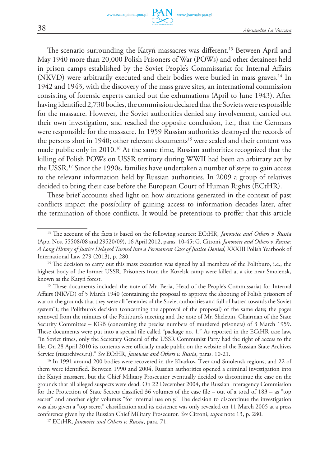The scenario surrounding the Katyń massacres was different.<sup>13</sup> Between April and May 1940 more than 20,000 Polish Prisoners of War (POWs) and other detainees held in prison camps established by the Soviet People's Commissariat for Internal Affairs (NKVD) were arbitrarily executed and their bodies were buried in mass graves.14 In 1942 and 1943, with the discovery of the mass grave sites, an international commission consisting of forensic experts carried out the exhumations (April to June 1943). After having identified 2,730 bodies, the commission declared that the Soviets were responsible for the massacre. However, the Soviet authorities denied any involvement, carried out their own investigation, and reached the opposite conclusion, i.e., that the Germans were responsible for the massacre. In 1959 Russian authorities destroyed the records of the persons shot in 1940; other relevant documents<sup>15</sup> were sealed and their content was made public only in 2010.<sup>16</sup> At the same time, Russian authorities recognized that the killing of Polish POWs on USSR territory during WWII had been an arbitrary act by the USSR. 17 Since the 1990s, families have undertaken a number of steps to gain access to the relevant information held by Russian authorities. In 2009 a group of relatives decided to bring their case before the European Court of Human Rights (ECtHR).

These brief accounts shed light on how situations generated in the context of past conflicts impact the possibility of gaining access to information decades later, after the termination of those conflicts. It would be pretentious to proffer that this article

<sup>13</sup> The account of the facts is based on the following sources: ECtHR, *Janowiec and Others v. Russia* (App. Nos. 55508/08 and 29520/09), 16 April 2012, paras. 10-45; G. Citroni, *Janowiec and Others v. Russia: A Long History of Justice Delayed Turned into a Permanent Case of Justice Denied,* XXXIII Polish Yearbook of International Law 279 (2013), p. 280.

<sup>&</sup>lt;sup>14</sup> The decision to carry out this mass execution was signed by all members of the Politburo, i.e., the highest body of the former USSR. Prisoners from the Kozelsk camp were killed at a site near Smolensk, known as the Katyń forest. 15 These documents included the note of Mr. Beria, Head of the People's Commissariat for Internal

Affairs (NKVD) of 5 March 1940 (containing the proposal to approve the shooting of Polish prisoners of war on the grounds that they were all "enemies of the Soviet authorities and full of hatred towards the Soviet system"); the Politburo's decision (concerning the approval of the proposal) of the same date; the pages removed from the minutes of the Politburo's meeting and the note of Mr. Shelepin, Chairman of the State Security Committee – KGB (concerning the precise numbers of murdered prisoners) of 3 March 1959. These documents were put into a special file called "package no. 1." As reported in the ECtHR case law, "in Soviet times, only the Secretary General of the USSR Communist Party had the right of access to the file. On 28 April 2010 its contents were officially made public on the website of the Russian State Archives Service (rusarchives.ru)." *See* ECtHR, *Janowiec and Others v. Russia*, paras. 10-21.

<sup>&</sup>lt;sup>16</sup> In 1991 around 200 bodies were recovered in the Kharkov, Tver and Smolensk regions, and 22 of them were identified. Between 1990 and 2004, Russian authorities opened a criminal investigation into the Katyń massacre, but the Chief Military Prosecutor eventually decided to discontinue the case on the grounds that all alleged suspects were dead. On 22 December 2004, the Russian Interagency Commission for the Protection of State Secrets classified 36 volumes of the case file – out of a total of 183 – as "top secret" and another eight volumes "for internal use only." The decision to discontinue the investigation was also given a "top secret" classification and its existence was only revealed on 11 March 2005 at a press conference given by the Russian Chief Military Prosecutor. *See* Citroni, *supra* note 13, p. 280.

<sup>17</sup> ECtHR, *Janowiec and Others v. Russia*, para. 71.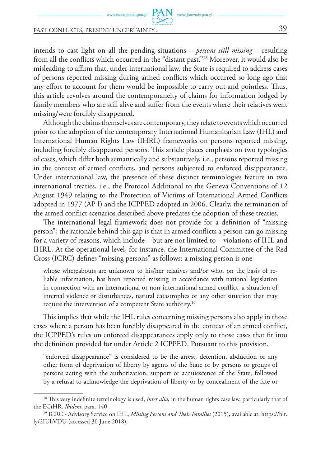$PAN$  www.journals.pan.pl www.czasopisma.pan.pl

### PAST CONFLICTS, PRESENT UNCERTAINTY... 39

intends to cast light on all the pending situations – *persons still missing –* resulting from all the conflicts which occurred in the "distant past."18 Moreover, it would also be misleading to affirm that, under international law, the State is required to address cases of persons reported missing during armed conflicts which occurred so long ago that any effort to account for them would be impossible to carry out and pointless. Thus, this article revolves around the contemporaneity of claims for information lodged by family members who are still alive and suffer from the events where their relatives went missing/were forcibly disappeared.

Although the claims themselves are contemporary, they relate to events which occurred prior to the adoption of the contemporary International Humanitarian Law (IHL) and International Human Rights Law (IHRL) frameworks on persons reported missing, including forcibly disappeared persons. This article places emphasis on two typologies of cases, which differ both semantically and substantively, i.e., persons reported missing in the context of armed conflicts, and persons subjected to enforced disappearance. Under international law, the presence of these distinct terminologies feature in two international treaties, i.e., the Protocol Additional to the Geneva Conventions of 12 August 1949 relating to the Protection of Victims of International Armed Conflicts adopted in 1977 (AP I) and the ICPPED adopted in 2006. Clearly, the termination of the armed conflict scenarios described above predates the adoption of these treaties.

The international legal framework does not provide for a definition of "missing person"; the rationale behind this gap is that in armed conflicts a person can go missing for a variety of reasons, which include – but are not limited to – violations of IHL and IHRL. At the operational level, for instance, the International Committee of the Red Cross (ICRC) defines "missing persons" as follows: a missing person is one

whose whereabouts are unknown to his/her relatives and/or who, on the basis of reliable information, has been reported missing in accordance with national legislation in connection with an international or non-international armed conflict, a situation of internal violence or disturbances, natural catastrophes or any other situation that may require the intervention of a competent State authority.19

This implies that while the IHL rules concerning missing persons also apply in those cases where a person has been forcibly disappeared in the context of an armed conflict, the ICPPED's rules on enforced disappearances apply only to those cases that fit into the definition provided for under Article 2 ICPPED. Pursuant to this provision,

"enforced disappearance" is considered to be the arrest, detention, abduction or any other form of deprivation of liberty by agents of the State or by persons or groups of persons acting with the authorization, support or acquiescence of the State, followed by a refusal to acknowledge the deprivation of liberty or by concealment of the fate or

<sup>&</sup>lt;sup>18</sup> This very indefinite terminology is used, *inter alia*, in the human rights case law, particularly that of the ECtHR. *Ibidem*, para. 140

<sup>19</sup> ICRC - Advisory Service on IHL, *Missing Persons and Their Families* (2015), available at: https://bit. ly/2IUhVDU (accessed 30 June 2018).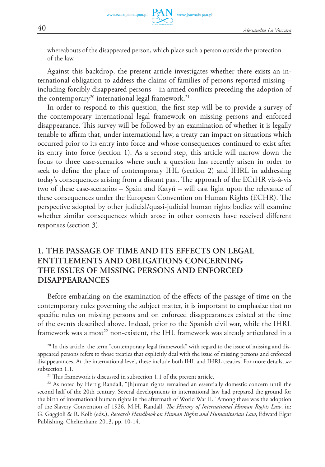whereabouts of the disappeared person, which place such a person outside the protection of the law.

Against this backdrop, the present article investigates whether there exists an international obligation to address the claims of families of persons reported missing – including forcibly disappeared persons – in armed conflicts preceding the adoption of the contemporary<sup>20</sup> international legal framework.<sup>21</sup>

In order to respond to this question, the first step will be to provide a survey of the contemporary international legal framework on missing persons and enforced disappearance. This survey will be followed by an examination of whether it is legally tenable to affirm that, under international law, a treaty can impact on situations which occurred prior to its entry into force and whose consequences continued to exist after its entry into force (section 1). As a second step, this article will narrow down the focus to three case-scenarios where such a question has recently arisen in order to seek to define the place of contemporary IHL (section 2) and IHRL in addressing today's consequences arising from a distant past. The approach of the ECtHR vis-à-vis two of these case-scenarios – Spain and Katyń – will cast light upon the relevance of these consequences under the European Convention on Human Rights (ECHR). The perspective adopted by other judicial/quasi-judicial human rights bodies will examine whether similar consequences which arose in other contexts have received different responses (section 3).

# **1. The passage of time and its effects on legal entitlements and obligations concerning the issues of missing persons and enforced disappearances**

Before embarking on the examination of the effects of the passage of time on the contemporary rules governing the subject matter, it is important to emphasize that no specific rules on missing persons and on enforced disappearances existed at the time of the events described above. Indeed, prior to the Spanish civil war, while the IHRL framework was almost<sup>22</sup> non-existent, the IHL framework was already articulated in a

 $20$  In this article, the term "contemporary legal framework" with regard to the issue of missing and disappeared persons refers to those treaties that explicitly deal with the issue of missing persons and enforced disappearances. At the international level, these include both IHL and IHRL treaties. For more details, *see* subsection 1.1.

<sup>&</sup>lt;sup>21</sup> This framework is discussed in subsection 1.1 of the present article.

<sup>&</sup>lt;sup>22</sup> As noted by Hertig Randall, "[h]uman rights remained an essentially domestic concern until the second half of the 20th century. Several developments in international law had prepared the ground for the birth of international human rights in the aftermath of World War II." Among these was the adoption of the Slavery Convention of 1926. M.H. Randall, *The History of International Human Rights Law*, in: G. Gaggioli & R. Kolb (eds.), *Research Handbook on Human Rights and Humanitarian Law*, Edward Elgar Publishing, Cheltenham: 2013, pp. 10-14.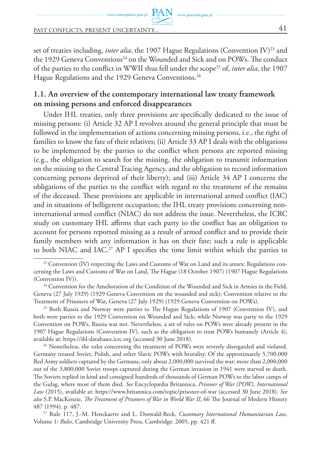$PAN$  www.journals.pan.pl www.czasopisma.pan.pl

PAST CONFLICTS, PRESENT UNCERTAINTY... 41

set of treaties including, *inter alia*, the 1907 Hague Regulations (Convention IV)<sup>23</sup> and the 1929 Geneva Conventions<sup>24</sup> on the Wounded and Sick and on POWs. The conduct of the parties to the conflict in WWII thus fell under the scope<sup>25</sup> of, *inter alia*, the 1907 Hague Regulations and the 1929 Geneva Conventions.<sup>26</sup>

# **1.1. An overview of the contemporary international law treaty framework on missing persons and enforced disappearances**

Under IHL treaties, only three provisions are specifically dedicated to the issue of missing persons: (i) Article 32 AP I revolves around the general principle that must be followed in the implementation of actions concerning missing persons, i.e., the right of families to know the fate of their relatives; (ii) Article 33 AP I deals with the obligations to be implemented by the parties to the conflict when persons are reported missing (e.g., the obligation to search for the missing, the obligation to transmit information on the missing to the Central Tracing Agency, and the obligation to record information concerning persons deprived of their liberty); and (iii) Article 34 AP I concerns the obligations of the parties to the conflict with regard to the treatment of the remains of the deceased. These provisions are applicable in international armed conflict (IAC) and in situations of belligerent occupation; the IHL treaty provisions concerning noninternational armed conflict (NIAC) do not address the issue. Nevertheless, the ICRC study on customary IHL affirms that each party to the conflict has an obligation to account for persons reported missing as a result of armed conflict and to provide their family members with any information it has on their fate; such a rule is applicable to both NIAC and IAC.27 AP I specifies the time limit within which the parties to

<sup>25</sup> Both Russia and Norway were parties to The Hague Regulations of 1907 (Convention IV), and both were parties to the 1929 Convention on Wounded and Sick; while Norway was party to the 1929 Convention on POWs, Russia was not. Nevertheless, a set of rules on POWs were already present in the 1907 Hague Regulations (Convention IV), such as the obligation to treat POWs humanely (Article 4), available at: https://ihl-databases.icrc.org (accessed 30 June 2018).<br><sup>26</sup> Nonetheless, the rules concerning the treatment of POWs were severely disregarded and violated.

Germany treated Soviet, Polish, and other Slavic POWs with brutality. Of the approximately 5,700,000 Red Army soldiers captured by the Germans, only about 2,000,000 survived the war; more than 2,000,000 out of the 3,800,000 Soviet troops captured during the German invasion in 1941 were starved to death. The Soviets replied in kind and consigned hundreds of thousands of German POWs to the labor camps of the Gulag, where most of them died. *See* Encyclopædia Britannica, *Prisoner of War (POW)*, *International Law* (2015), available at: https://www.britannica.com/topic/prisoner-of-war (accessed 30 June 2018). *See also* S.P. MacKenzie, *The Treatment of Prisoners of War in World War II*, 66 The Journal of Modern History 487 (1994), p. 487.

<sup>27</sup> Rule 117, J.-M. Henckaerts and L. Doswald-Beck, *Customary International Humanitarian Law*, Volume 1: *Rules*, Cambridge University Press, Cambridge: 2005, pp. 421 ff.

<sup>&</sup>lt;sup>23</sup> Convention (IV) respecting the Laws and Customs of War on Land and its annex: Regulations concerning the Laws and Customs of War on Land, The Hague (18 October 1907) (1907 Hague Regulations (Convention IV)).

<sup>&</sup>lt;sup>24</sup> Convention for the Amelioration of the Condition of the Wounded and Sick in Armies in the Field, Geneva (27 July 1929) (1929 Geneva Convention on the wounded and sick); Convention relative to the Treatment of Prisoners of War, Geneva (27 July 1929) (1929 Geneva Convention on POWs).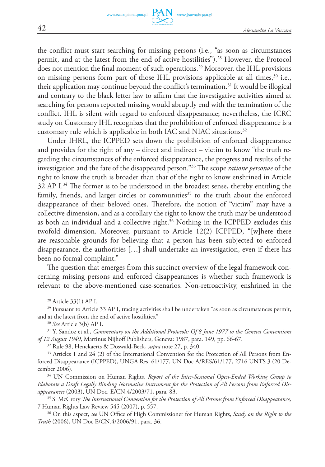the conflict must start searching for missing persons (i.e., "as soon as circumstances permit, and at the latest from the end of active hostilities").<sup>28</sup> However, the Protocol does not mention the final moment of such operations.<sup>29</sup> Moreover, the IHL provisions on missing persons form part of those IHL provisions applicable at all times, $30$  i.e., their application may continue beyond the conflict's termination.31 It would be illogical and contrary to the black letter law to affirm that the investigative activities aimed at searching for persons reported missing would abruptly end with the termination of the conflict. IHL is silent with regard to enforced disappearance; nevertheless, the ICRC study on Customary IHL recognizes that the prohibition of enforced disappearance is a customary rule which is applicable in both IAC and NIAC situations.32

Under IHRL, the ICPPED sets down the prohibition of enforced disappearance and provides for the right of any – direct and indirect – victim to know "the truth regarding the circumstances of the enforced disappearance, the progress and results of the investigation and the fate of the disappeared person."33 The scope *ratione personae* of the right to know the truth is broader than that of the right to know enshrined in Article 32 AP I.34 The former is to be understood in the broadest sense, thereby entitling the family, friends, and larger circles or communities $35$  to the truth about the enforced disappearance of their beloved ones. Therefore, the notion of "victim" may have a collective dimension, and as a corollary the right to know the truth may be understood as both an individual and a collective right.<sup>36</sup> Nothing in the ICPPED excludes this twofold dimension. Moreover, pursuant to Article 12(2) ICPPED, "[w]here there are reasonable grounds for believing that a person has been subjected to enforced disappearance, the authorities […] shall undertake an investigation, even if there has been no formal complaint."

The question that emerges from this succinct overview of the legal framework concerning missing persons and enforced disappearances is whether such framework is relevant to the above-mentioned case-scenarios. Non-retroactivity, enshrined in the

<sup>29</sup> Pursuant to Article 33 AP I, tracing activities shall be undertaken "as soon as circumstances permit, and at the latest from the end of active hostilities."

<sup>32</sup> Rule 98, Henckaerts & Doswald-Beck, *supra* note 27, p. 340.

34 UN Commission on Human Rights, *Report of the Inter-Sessional Open-Ended Working Group to Elaborate a Draft Legally Binding Normative Instrument for the Protection of All Persons from Enforced Disappearances* (2003), UN Doc. E/CN.4/2003/71, para. 83.<br><sup>35</sup> S. McCrory *The International Convention for the Protection of All Persons from Enforced Disappearance,* 

<sup>28</sup> Article 33(1) AP I.

<sup>30</sup> *See* Article 3(b) AP I.

<sup>31</sup> Y. Sandoz et al., *Commentary on the Additional Protocols: Of 8 June 1977 to the Geneva Conventions of 12 August 1949*, Martinus Nijhoff Publishers, Geneva: 1987, para. 149, pp. 66-67.

<sup>33</sup> Articles 1 and 24 (2) of the International Convention for the Protection of All Persons from Enforced Disappearance (ICPPED), UNGA Res. 61/177, UN Doc A/RES/61/177, 2716 UNTS 3 (20 December 2006).

<sup>7</sup> Human Rights Law Review 545 (2007), p. 557. 36 On this aspect, *see* UN Office of High Commissioner for Human Rights, *Study on the Right to the* 

*Truth* (2006), UN Doc E/CN.4/2006/91, para. 36.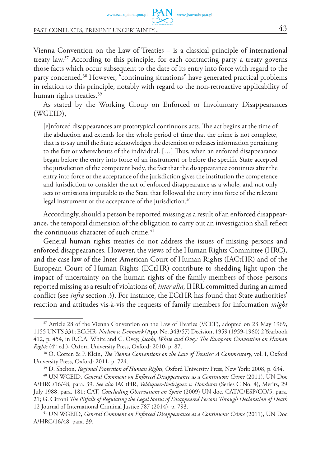### PAST CONFLICTS, PRESENT UNCERTAINTY...  $43$

Vienna Convention on the Law of Treaties – is a classical principle of international treaty law.37 According to this principle, for each contracting party a treaty governs those facts which occur subsequent to the date of its entry into force with regard to the party concerned.38 However, "continuing situations" have generated practical problems in relation to this principle, notably with regard to the non-retroactive applicability of human rights treaties.<sup>39</sup>

www.journals.pan.pl

As stated by the Working Group on Enforced or Involuntary Disappearances (WGEID),

[e]nforced disappearances are prototypical continuous acts. The act begins at the time of the abduction and extends for the whole period of time that the crime is not complete, that is to say until the State acknowledges the detention or releases information pertaining to the fate or whereabouts of the individual. […] Thus, when an enforced disappearance began before the entry into force of an instrument or before the specific State accepted the jurisdiction of the competent body, the fact that the disappearance continues after the entry into force or the acceptance of the jurisdiction gives the institution the competence and jurisdiction to consider the act of enforced disappearance as a whole, and not only acts or omissions imputable to the State that followed the entry into force of the relevant legal instrument or the acceptance of the jurisdiction.<sup>40</sup>

Accordingly, should a person be reported missing as a result of an enforced disappearance, the temporal dimension of the obligation to carry out an investigation shall reflect the continuous character of such crime.<sup>41</sup>

General human rights treaties do not address the issues of missing persons and enforced disappearances. However, the views of the Human Rights Committee (HRC), and the case law of the Inter-American Court of Human Rights (IACtHR) and of the European Court of Human Rights (ECtHR) contribute to shedding light upon the impact of uncertainty on the human rights of the family members of those persons reported missing as a result of violations of, *inter alia,* IHRL committed during an armed conflict (see *infra* section 3). For instance, the ECtHR has found that State authorities' reaction and attitudes vis-à-vis the requests of family members for information *might* 

<sup>&</sup>lt;sup>37</sup> Article 28 of the Vienna Convention on the Law of Treaties (VCLT), adopted on 23 May 1969, 1155 UNTS 331; ECtHR, *Nielsen v. Denmark* (App. No. 343/57) Decision, 1959 (1959-1960) 2 Yearbook 412, p. 454, in R.C.A. White and C. Ovey, *Jacobs, White and Ovey: The European Convention on Human Rights* (4th ed.), Oxford University Press, Oxford: 2010, p. 87.

<sup>38</sup> O. Corten & P. Klein, *The Vienna Conventions on the Law of Treaties: A Commentary*, vol. I, Oxford University Press, Oxford: 2011, p. 724.

<sup>&</sup>lt;sup>39</sup> D. Shelton, *Regional Protection of Human Rights*, Oxford University Press, New York: 2008, p. 634. 40 UN WGEID, *General Comment on Enforced Disappearance as a Continuous Crime* (2011), UN Doc

A/HRC/16/48, para. 39. *See also* IACtHR, *Velásquez-Rodríguez v. Honduras* (Series C No. 4), Merits, 29 July 1988, para. 181; CAT, *Concluding Observations on Spain* (2009) UN doc. CAT/C/ESP/CO/5, para. 21; G. Citroni *The Pitfalls of Regulating the Legal Status of Disappeared Persons Through Declaration of Death*

<sup>12</sup> Journal of International Criminal Justice 787 (2014), p. 793. 41 UN WGEID, *General Comment on Enforced Disappearance as a Continuous Crime* (2011), UN Doc A/HRC/16/48, para. 39.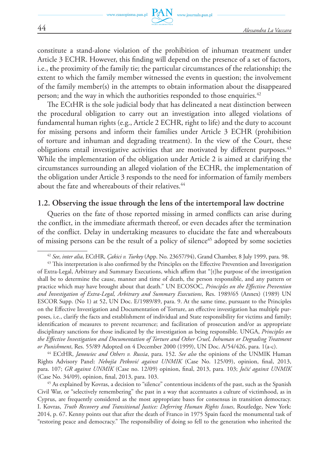constitute a stand-alone violation of the prohibition of inhuman treatment under Article 3 ECHR. However, this finding will depend on the presence of a set of factors, i.e., **t**he proximity of the family tie; the particular circumstances of the relationship; the extent to which the family member witnessed the events in question; the involvement of the family member(s) in the attempts to obtain information about the disappeared person; and the way in which the authorities responded to those enquiries.<sup>42</sup>

The ECtHR is the sole judicial body that has delineated a neat distinction between the procedural obligation to carry out an investigation into alleged violations of fundamental human rights (e.g., Article 2 ECHR, right to life) and the duty to account for missing persons and inform their families under Article 3 ECHR (prohibition of torture and inhuman and degrading treatment). In the view of the Court, these obligations entail investigative activities that are motivated by different purposes.<sup>43</sup> While the implementation of the obligation under Article 2 is aimed at clarifying the circumstances surrounding an alleged violation of the ECHR, the implementation of the obligation under Article 3 responds to the need for information of family members about the fate and whereabouts of their relatives.<sup>44</sup>

#### **1.2. Observing the issue through the lens of the intertemporal law doctrine**

Queries on the fate of those reported missing in armed conflicts can arise during the conflict, in the immediate aftermath thereof, or even decades after the termination of the conflict. Delay in undertaking measures to elucidate the fate and whereabouts of missing persons can be the result of a policy of silence<sup>45</sup> adopted by some societies

Rights Advisory Panel: *Nebojša Petković against UNMIK* (Case No. 125/09), opinion, final, 2013, para. 107; *GR against UNMIK* (Case no. 12/09) opinion, final, 2013, para. 103; *Jočić against UNMIK*  (Case No. 34/09), opinion, final, 2013, para. 103.

 $^{45}$  As explained by Kovras, a decision to "silence" contentious incidents of the past, such as the Spanish Civil War, or "selectively remembering" the past in a way that accentuates a culture of victimhood, as in Cyprus, are frequently considered as the most appropriate bases for consensus in transition democracy. I. Kovras, *Truth Recovery and Transitional Justice: Deferring Human Rights Issues*, Routledge, New York: 2014, p. 67. Kenny points out that after the death of Franco in 1975 Spain faced the monumental task of "restoring peace and democracy." The responsibility of doing so fell to the generation who inherited the

 $^{42}$  See, inter alia, ECtHR, *Çakici v. Turkey* (App. No. 23657/94), Grand Chamber, 8 July 1999, para. 98.<br><sup>43</sup> This interpretation is also confirmed by the Principles on the Effective Prevention and Investigation

of Extra-Legal, Arbitrary and Summary Executions, which affirm that "[t]he purpose of the investigation shall be to determine the cause, manner and time of death, the person responsible, and any pattern or practice which may have brought about that death." UN ECOSOC, *Principles on the Effective Prevention and Investigation of Extra-Legal, Arbitrary and Summary Executions*, Res. 1989/65 (Annex) (1989) UN ESCOR Supp. (No 1) at 52, UN Doc. E/1989/89, para. 9. At the same time, pursuant to the Principles on the Effective Investigation and Documentation of Torture, an effective investigation has multiple purposes, i.e., clarify the facts and establishment of individual and State responsibility for victims and family; identification of measures to prevent recurrence; and facilitation of prosecution and/or as appropriate disciplinary sanctions for those indicated by the investigation as being responsible. UNGA, *Principles on the Effective Investigation and Documentation of Torture and Other Cruel, Inhuman or Degrading Treatment or Punishment*, Res. 55/89 Adopted on 4 December 2000 (1999), UN Doc. A/54/426, para. 1(a-c). 44 ECtHR, *Janowiec and Others v. Russia*, para. 152. *See also* the opinions of the UNMIK Human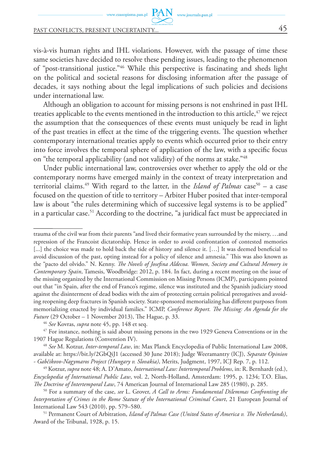### PAST CONFLICTS, PRESENT UNCERTAINTY... 45

vis-à-vis human rights and IHL violations. However, with the passage of time these same societies have decided to resolve these pending issues, leading to the phenomenon of "post-transitional justice."46 While this perspective is fascinating and sheds light on the political and societal reasons for disclosing information after the passage of decades, it says nothing about the legal implications of such policies and decisions under international law.

www.journals.pan.pl

Although an obligation to account for missing persons is not enshrined in past IHL treaties applicable to the events mentioned in the introduction to this article, $47$  we reject the assumption that the consequences of these events must uniquely be read in light of the past treaties in effect at the time of the triggering events. The question whether contemporary international treaties apply to events which occurred prior to their entry into force involves the temporal sphere of application of the law, with a specific focus on "the temporal applicability (and not validity) of the norms at stake."<sup>48</sup>

Under public international law, controversies over whether to apply the old or the contemporary norms have emerged mainly in the context of treaty interpretation and territorial claims.<sup>49</sup> With regard to the latter, in the *Island of Palmas* case<sup>50</sup> – a case focused on the question of title to territory – Arbiter Huber posited that inter-temporal law is about "the rules determining which of successive legal systems is to be applied" in a particular case.<sup>51</sup> According to the doctrine, "a juridical fact must be appreciated in

<sup>48</sup> *See* M. Kotzur, *Inter-temporal Law*, in: Max Planck Encyclopedia of Public International Law 2008, available at: https://bit.ly/2GbQiJ1 (accessed 30 June 2018); Judge Weeramantry (ICJ), *Separate Opinion - Gabčikovo-Nagymaros Project (Hungary v. Slovakia)*, Merits, Judgment, 1997, ICJ Rep. 7, p. 112.

trauma of the civil war from their parents "and lived their formative years surrounded by the misery, …and repression of the Francoist dictatorship. Hence in order to avoid confrontation of contested memories [...] the choice was made to hold back the tide of history and silence it. [...] It was deemed beneficial to avoid discussion of the past, opting instead for a policy of silence and amnesia." This was also known as the "pacto del olvido." N. Kenny. *The Novels of Josefina Aldecoa. Women, Society and Cultural Memory in Contemporary Spain*, Tamesis, Woodbridge: 2012, p. 184. In fact, during a recent meeting on the issue of the missing organized by the International Commission on Missing Persons (ICMP), participants pointed out that "in Spain, after the end of Franco's regime, silence was instituted and the Spanish judiciary stood against the disinterment of dead bodies with the aim of protecting certain political prerogatives and avoiding reopening deep fractures in Spanish society. State-sponsored memorializing has different purposes from memorializing enacted by individual families." ICMP, *Conference Report. The Missing: An Agenda for the Future* (29 October – 1 November 2013), The Hague, p. 33.

<sup>46</sup> *See* Kovras, *supra* note 45, pp. 148 et seq.

<sup>&</sup>lt;sup>47</sup> For instance, nothing is said about missing persons in the two 1929 Geneva Conventions or in the 1907 Hague Regulations (Convention IV).

<sup>49</sup> Kotzur, *supra* note 48; A. D'Amato, *International Law: Intertemporal Problems*, in: R. Bernhardt (ed.), *Encyclopedia of International Public Law*, vol. 2, North-Holland, Amsterdam: 1995, p. 1234; T.O. Elias, *The Doctrine of Intertemporal Law*, 74 American Journal of International Law 285 (1980), p. 285.

<sup>50</sup> For a summary of the case, *see* L. Grover, *A Call to Arms: Fundamental Dilemmas Confronting the Interpretation of Crimes in the Rome Statute of the International Criminal Court*, 21 European Journal of International Law 543 (2010), pp. 579–580.

<sup>51</sup> Permanent Court of Arbitration, *Island of Palmas Case (United States of America v. The Netherlands)*, Award of the Tribunal, 1928, p. 15.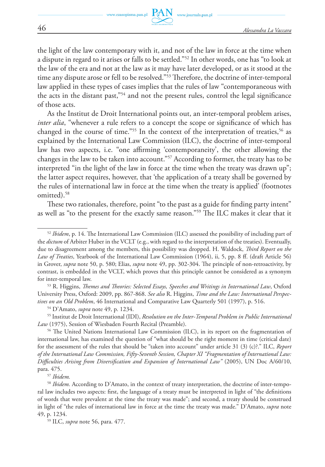the light of the law contemporary with it, and not of the law in force at the time when a dispute in regard to it arises or falls to be settled."52 In other words, one has "to look at the law of the era and not at the law as it may have later developed, or as it stood at the time any dispute arose or fell to be resolved."53 Therefore, the doctrine of inter-temporal law applied in these types of cases implies that the rules of law "contemporaneous with the acts in the distant past," $54$  and not the present rules, control the legal significance of those acts.

As the Institut de Droit International points out, an inter-temporal problem arises, *inter alia*, "whenever a rule refers to a concept the scope or significance of which has changed in the course of time."<sup>55</sup> In the context of the interpretation of treaties,<sup>56</sup> as explained by the International Law Commission (ILC), the doctrine of inter-temporal law has two aspects, i.e. "one affirming 'contemporaneity', the other allowing the changes in the law to be taken into account."57 According to former, the treaty has to be interpreted "in the light of the law in force at the time when the treaty was drawn up"; the latter aspect requires, however, that 'the application of a treaty shall be governed by the rules of international law in force at the time when the treaty is applied' (footnotes omitted).<sup>58</sup>

These two rationales, therefore, point "to the past as a guide for finding party intent" as well as "to the present for the exactly same reason."59 The ILC makes it clear that it

University Press, Oxford: 2009, pp. 867-868. *See also* R. Higgins, *Time and the Law: International Perspectives on an Old Problem*, 46 International and Comparative Law Quarterly 501 (1997), p. 516. 54 D'Amato, *supra* note 49, p. 1234.

55 Institut de Droit International (IDI), *Resolution on the Inter-Temporal Problem in Public International Law* (1975), Session of Wiesbaden Fourth Recital (Preamble).

56 The United Nations International Law Commission (ILC), in its report on the fragmentation of international law, has examined the question of "what should be the right moment in time (critical date) for the assessment of the rules that should be "taken into account" under article 31 (3) (c)?." ILC, *Report of the International Law Commission, Fifty-Seventh Session, Chapter XI "Fragmentation of International Law: Difficulties Arising from Diversification and Expansion of International Law"* (2005), UN Doc A/60/10, para. 475. 57 *Ibidem.*

59 ILC, *supra* note 56, para. 477.

<sup>52</sup> *Ibidem*, p. 14. The International Law Commission (ILC) assessed the possibility of including part of the *dictum* of Arbiter Huber in the VCLT (e.g., with regard to the interpretation of the treaties). Eventually, due to disagreement among the members, this possibility was dropped. H. Waldock, *Third Report on the Law of Treaties*, Yearbook of the International Law Commission (1964), ii, 5, pp. 8 ff. (draft Article 56) in Grover, *supra* note 50, p. 580; Elias, *supra* note 49, pp. 302-304. The principle of non-retroactivity, by contrast, is embedded in the VCLT, which proves that this principle cannot be considered as a synonym for inter-temporal law. 53 R. Higgins, *Themes and Theories: Selected Essays, Speeches and Writings in International Law*, Oxford

<sup>58</sup> *Ibidem.* According to D'Amato, in the context of treaty interpretation, the doctrine of inter-temporal law includes two aspects: first, the language of a treaty must be interpreted in light of "the definitions of words that were prevalent at the time the treaty was made"; and second, a treaty should be construed in light of "the rules of international law in force at the time the treaty was made." D'Amato, *supra* note 49, p. 1234.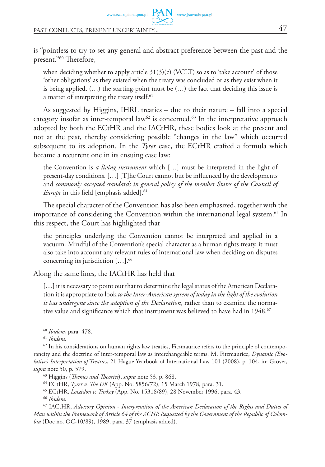# PAST CONFLICTS, PRESENT UNCERTAINTY... 47

is "pointless to try to set any general and abstract preference between the past and the present."60 Therefore,

www.journals.pan.pl

when deciding whether to apply article  $31(3)(c)$  (VCLT) so as to 'take account' of those 'other obligations' as they existed when the treaty was concluded or as they exist when it is being applied,  $(...)$  the starting-point must be  $(...)$  the fact that deciding this issue is a matter of interpreting the treaty itself.<sup>61</sup>

As suggested by Higgins, IHRL treaties – due to their nature – fall into a special category insofar as inter-temporal law $62$  is concerned.<sup>63</sup> In the interpretative approach adopted by both the ECtHR and the IACtHR, these bodies look at the present and not at the past, thereby considering possible "changes in the law" which occurred subsequent to its adoption. In the *Tyrer* case, the ECtHR crafted a formula which became a recurrent one in its ensuing case law:

the Convention is *a living instrument* which […] must be interpreted in the light of present-day conditions. […] [T]he Court cannot but be influenced by the developments and *commonly accepted standards in general policy of the member States of the Council of Europe* in this field [emphasis added].<sup>64</sup>

The special character of the Convention has also been emphasized, together with the importance of considering the Convention within the international legal system.<sup>65</sup> In this respect, the Court has highlighted that

the principles underlying the Convention cannot be interpreted and applied in a vacuum. Mindful of the Convention's special character as a human rights treaty, it must also take into account any relevant rules of international law when deciding on disputes concerning its jurisdiction [...].<sup>66</sup>

Along the same lines, the IACtHR has held that

[...] it is necessary to point out that to determine the legal status of the American Declaration it is appropriate to look *to the Inter-American system of today in the light of the evolution it has undergone since the adoption of the Declaration*, rather than to examine the normative value and significance which that instrument was believed to have had in 1948.<sup>67</sup>

<sup>63</sup> Higgins (*Themes and Theories*), *supra* note 53, p. 868.<br><sup>64</sup> ECtHR, *Tyrer v. The UK* (App. No. 5856/72), 15 March 1978, para. 31.

<sup>65</sup> ECtHR, *Loizidou v. Turkey* (App. No. 15318/89), 28 November 1996, para. 43.

<sup>66</sup> Ibidem.<br><sup>67</sup> IACtHR, *Advisory Opinion - Interpretation of the American Declaration of the Rights and Duties of Man within the Framework of Article 64 of the ACHR Requested by the Government of the Republic of Colombia* (Doc no. OC-10/89), 1989, para. 37 (emphasis added).

<sup>60</sup> *Ibidem*, para. 478.

<sup>61</sup> *Ibidem.*

 $62$  In his considerations on human rights law treaties, Fitzmaurice refers to the principle of contemporaneity and the doctrine of inter-temporal law as interchangeable terms. M. Fitzmaurice, *Dynamic (Evolutive) Interpretation of Treaties*, 21 Hague Yearbook of International Law 101 (2008), p. 104, in: Grover, *supra* note 50, p. 579.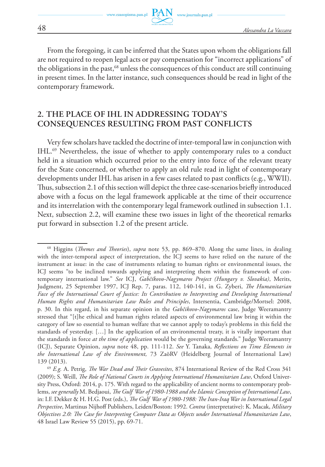From the foregoing, it can be inferred that the States upon whom the obligations fall are not required to reopen legal acts or pay compensation for "incorrect applications" of the obligations in the past,<sup>68</sup> unless the consequences of this conduct are still continuing in present times. In the latter instance, such consequences should be read in light of the contemporary framework.

# **2. The place of IHL in addressing today's consequences resulting from past conflicts**

Very few scholars have tackled the doctrine of inter-temporal law in conjunction with IHL.69 Nevertheless, the issue of whether to apply contemporary rules to a conduct held in a situation which occurred prior to the entry into force of the relevant treaty for the State concerned, or whether to apply an old rule read in light of contemporary developments under IHL has arisen in a few cases related to past conflicts (e.g., WWII). Thus, subsection 2.1 of this section will depict the three case-scenarios briefly introduced above with a focus on the legal framework applicable at the time of their occurrence and its interrelation with the contemporary legal framework outlined in subsection 1.1. Next, subsection 2.2, will examine these two issues in light of the theoretical remarks put forward in subsection 1.2 of the present article.

<sup>68</sup> Higgins (*Themes and Theories*), *supra* note 53, pp. 869–870. Along the same lines, in dealing with the inter-temporal aspect of interpretation, the ICJ seems to have relied on the nature of the instrument at issue: in the case of instruments relating to human rights or environmental issues, the ICJ seems "to be inclined towards applying and interpreting them within the framework of contemporary international law." *See* ICJ, *Gabčíkovo-Nagymaros Project (Hungary v. Slovakia)*, Merits, Judgment, 25 September 1997, ICJ Rep. 7, paras. 112, 140-141, in G. Zyberi, *The Humanitarian Face of the International Court of Justice: Its Contribution to Interpreting and Developing International Human Rights and Humanitarian Law Rules and Principles*, Intersentia, Cambridge/Mortsel: 2008, p. 30. In this regard, in his separate opinion in the *Gabčikovo-Nagymaros* case, Judge Weeramantry stressed that "[t]he ethical and human rights related aspects of environmental law bring it within the category of law so essential to human welfare that we cannot apply to today's problems in this field the standards of yesterday. […] In the application of an environmental treaty, it is vitally important that the standards in force *at the time of application* would be the governing standards." Judge Weeramantry (ICJ), Separate Opinion, *supra* note 48, pp. 111-112. *See* Y. Tanaka, *Reflections on Time Elements in the International Law of the Environment,* 73 ZaöRV (Heidelberg Journal of International Law) 139 (2013). 69 *E.g.* A. Petrig, *The War Dead and Their Gravesites*, 874 International Review of the Red Cross 341

<sup>(2009);</sup> S. Weill, *The Role of National Courts in Applying International Humanitarian Law*, Oxford University Press, Oxford: 2014, p. 175. With regard to the applicability of ancient norms to contemporary problems, *see generally* M. Bedjaoui, *The Gulf War of 1980-1988 and the Islamic Conception of International Law*, in: I.F. Dekker & H. H.G. Post (eds.), *The Gulf War of 1980-1988: The Iran-Iraq War in International Legal Perspective*, Martinus Nijhoff Publishers, Leiden/Boston: 1992. *Contra* (interpretative): K. Macak, *Military Objectives 2.0: The Case for Interpreting Computer Data as Objects under International Humanitarian Law*, 48 Israel Law Review 55 (2015), pp. 69-71.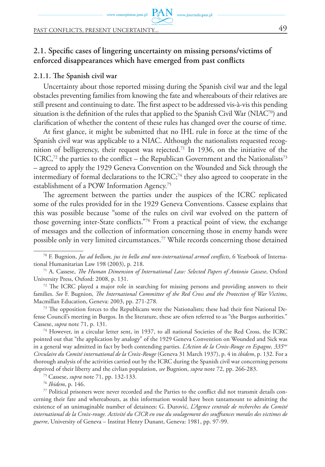PAST CONFLICTS, PRESENT UNCERTAINTY... 49

# **2.1. Specific cases of lingering uncertainty on missing persons/victims of enforced disappearances which have emerged from past conflicts**

www.journals.pan.pl

#### **2.1.1. The Spanish civil war**

Uncertainty about those reported missing during the Spanish civil war and the legal obstacles preventing families from knowing the fate and whereabouts of their relatives are still present and continuing to date. The first aspect to be addressed vis-à-vis this pending situation is the definition of the rules that applied to the Spanish Civil War (NIAC<sup>70</sup>) and clarification of whether the content of these rules has changed over the course of time.

At first glance, it might be submitted that no IHL rule in force at the time of the Spanish civil war was applicable to a NIAC. Although the nationalists requested recognition of belligerency, their request was rejected.71 In 1936, on the initiative of the ICRC,<sup>72</sup> the parties to the conflict – the Republican Government and the Nationalists<sup>73</sup> – agreed to apply the 1929 Geneva Convention on the Wounded and Sick through the intermediary of formal declarations to the ICRC;<sup>74</sup> they also agreed to cooperate in the establishment of a POW Information Agency.<sup>75</sup>

The agreement between the parties under the auspices of the ICRC replicated some of the rules provided for in the 1929 Geneva Conventions. Cassese explains that this was possible because "some of the rules on civil war evolved on the pattern of those governing inter-State conflicts."76 From a practical point of view, the exchange of messages and the collection of information concerning those in enemy hands were possible only in very limited circumstances.77 While records concerning those detained

 $72$  The ICRC played a major role in searching for missing persons and providing answers to their families. *See* F. Bugnion, *The International Committee of the Red Cross and the Protection of War Victims*, Macmillan Education, Geneva: 2003, pp. 271-278.<br><sup>73</sup> The opposition forces to the Republicans were the Nationalists; these had their first National De-

fense Council's meeting in Burgos. In the literature, these are often referred to as "the Burgos authorities." Cassese, *supra* note 71, p. 131. 74 However, in a circular letter sent, in 1937, to all national Societies of the Red Cross, the ICRC

pointed out that "the application by analogy" of the 1929 Geneva Convention on Wounded and Sick was in a general way admitted in fact by both contending parties. *L'Action de la Croix-Rouge en Espagne, 335me Circulaire du Comité international de la Croix-Rouge* (Geneva 31 March 1937), p. 4 in *ibidem*, p. 132. For a thorough analysis of the activities carried out by the ICRC during the Spanish civil war concerning persons deprived of their liberty and the civlian population, *see* Bugnion, *supra* note 72, pp. 266-283.

75 Cassese, *supra* note 71, pp. 132-133.

<sup>70</sup> F. Bugnion, *Jus ad bellum, jus in bello and non-international armed conflicts*, 6 Yearbook of International Humanitarian Law 198 (2003), p. 218. 71 A. Cassese, *The Human Dimension of International Law: Selected Papers of Antonio Cassese*, Oxford

University Press, Oxford: 2008, p. 131.

<sup>&</sup>lt;sup>76</sup> *Ibidem*, p. 146.<br><sup>77</sup> Political prisoners were never recorded and the Parties to the conflict did not transmit details concerning their fate and whereabouts, as this information would have been tantamount to admitting the existence of an unimaginable number of detainees: G. Đurović, *L'Agence centrale de recherches du Comité international de la Croix-rouge. Activité du CICR en vue du soulagement des souffrances morales des victimes de guerre*, University of Geneva – Institut Henry Dunant, Geneva: 1981, pp. 97-99.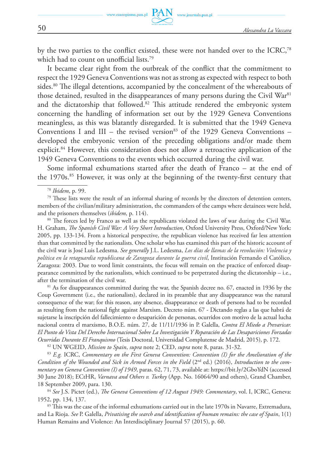by the two parties to the conflict existed, these were not handed over to the ICRC,<sup>78</sup> which had to count on unofficial lists.<sup>79</sup>

www.journals.pan.pl

It became clear right from the outbreak of the conflict that the commitment to respect the 1929 Geneva Conventions was not as strong as expected with respect to both sides.<sup>80</sup> The illegal detentions, accompanied by the concealment of the whereabouts of those detained, resulted in the disappearances of many persons during the Civil War<sup>81</sup> and the dictatorship that followed.<sup>82</sup> This attitude rendered the embryonic system concerning the handling of information set out by the 1929 Geneva Conventions meaningless, as this was blatantly disregarded. It is submitted that the 1949 Geneva Conventions I and III – the revised version<sup>83</sup> of the 1929 Geneva Conventions – developed the embryonic version of the preceding obligations and/or made them explicit.<sup>84</sup> However, this consideration does not allow a retroactive application of the 1949 Geneva Conventions to the events which occurred during the civil war.

Some informal exhumations started after the death of Franco – at the end of the 1970s.<sup>85</sup> However, it was only at the beginning of the twenty-first century that

79 These lists were the result of an informal sharing of records by the directors of detention centers, members of the civilian/military administration, the commanders of the camps where detainees were held, and the prisoners themselves (*ibidem*, p. 114).<br><sup>80</sup> The forces led by Franco as well as the republicans violated the laws of war during the Civil War.

H. Graham, *The Spanish Civil War: A Very Short Introduction*, Oxford University Press, Oxford/New York: 2005, pp. 133-134. From a historical perspective, the republican violence has received far less attention than that committed by the nationalists. One scholar who has examined this part of the historic account of the civil war is José Luis Ledesma. *See generally* J.L. Ledesma, *Los días de llamas de la revolución: Violencia y política en la retaguardia republicana de Zaragoza durante la guerra civil*, Institución Fernando el Católico, Zaragoza: 2003. Due to word limit constraints, the focus will remain on the practice of enforced disappearance committed by the nationalists, which continued to be perpetrated during the dictatorship – i.e., after the termination of the civil war.<br><sup>81</sup> As for disappearances committed during the war, the Spanish decree no. 67, enacted in 1936 by the

Coup Government (i.e., the nationalists), declared in its preamble that any disappearance was the natural consequence of the war; for this reason, any absence, disappearance or death of persons had to be recorded as resulting from the national fight against Marxism. Decreto núm. 67 - Dictando reglas a las que habrá de sujetarse la inscripción del fallecimiento o desaparición de personas, ocurridos con motivo de la actual lucha nacional contra el marxismo, B.O.E. núm. 27, de 11/11/1936 in P. Galella, *Contra El Miedo a Prevaricar. El Punto de Vista Del Derecho Internacional Sobre La Investigación Y Reparación de Las Desapariciones Forzadas Ocurridas Durante El Franquismo* (Tesis Doctoral, Universidad Complutense de Madrid, 2015), p. 172.

82 UN WGEID, *Mission to Spain*, *supra* note 2; CED, *supra* note 8, paras. 31-32.

<sup>83</sup> *E.g.* ICRC, *Commentary on the First Geneva Convention: Convention (I) for the Amelioration of the*  Condition of the Wounded and Sick in Armed Forces in the Field (2<sup>nd</sup> ed.) (2016), *Introduction to the commentary on Geneva Convention (I) of 1949*, paras. 62, 71, 73, available at: https://bit.ly/2GboYdN (accessed 30 June 2018); ECtHR, *Varnava and Others v. Turkey* (App. No. 16064/90 and others), Grand Chamber, 18 September 2009, para. 130. 84 *See* J.S. Pictet (ed.), *The Geneva Conventions of 12 August 1949: Commentary*, vol. I, ICRC, Geneva:

1952, pp. 134, 137.

85 This was the case of the informal exhumations carried out in the late 1970s in Navarre, Extremadura, and La Rioja. *See* P. Galella, *Privatising the search and identification of human remains: the case of Spain*, 1(1) Human Remains and Violence: An Interdisciplinary Journal 57 (2015), p. 60.

<sup>78</sup> *Ibidem*, p. 99.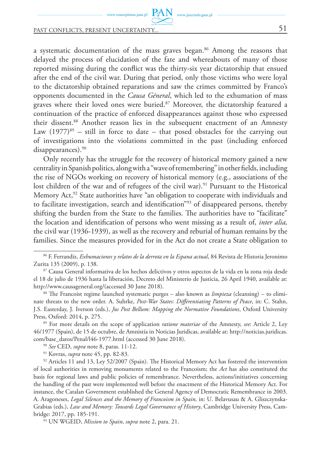### PAST CONFLICTS, PRESENT UNCERTAINTY...

a systematic documentation of the mass graves began.<sup>86</sup> Among the reasons that delayed the process of elucidation of the fate and whereabouts of many of those reported missing during the conflict was the thirty-six year dictatorship that ensued after the end of the civil war. During that period, only those victims who were loyal to the dictatorship obtained reparations and saw the crimes committed by Franco's opponents documented in the *Causa Géneral*, which led to the exhumation of mass graves where their loved ones were buried.87 Moreover, the dictatorship featured a continuation of the practice of enforced disappearances against those who expressed their dissent.<sup>88</sup> Another reason lies in the subsequent enactment of an Amnesty Law  $(1977)^{89}$  – still in force to date – that posed obstacles for the carrying out of investigations into the violations committed in the past (including enforced disappearances).<sup>90</sup>

Only recently has the struggle for the recovery of historical memory gained a new centrality in Spanish politics, along with a "wave of remembering" in other fields, including the rise of NGOs working on recovery of historical memory (e.g., associations of the lost children of the war and of refugees of the civil war).<sup>91</sup> Pursuant to the Historical Memory Act,<sup>92</sup> State authorities have "an obligation to cooperate with individuals and to facilitate investigation, search and identification"93 of disappeared persons, thereby shifting the burden from the State to the families. The authorities have to "facilitate" the location and identification of persons who went missing as a result of, *inter alia,*  the civil war (1936-1939), as well as the recovery and reburial of human remains by the families. Since the measures provided for in the Act do not create a State obligation to

<sup>86</sup> F. Ferrandiz, *Exhumaciones y relatos de la derrota en la Espana actual*, 84 Revista de Historia Jeronimo Zurita 135 (2009), p. 138.

<sup>87</sup> Causa General informativa de los hechos delictivos y otros aspectos de la vida en la zona roja desde el 18 de julio de 1936 hasta la liberación, Decreto del Ministerio de Justicia, 26 April 1940, available at: http://www.causageneral.org/(accessed 30 June 2018). 88 The Francoist regime launched systematic purges – also known as *limpieza* (cleansing) – to elimi-

nate threats to the new order. A. Suhrke, *Post-War States: Differentiating Patterns of Peace*, in: C. Stahn, J.S. Easterday, J. Iverson (eds.), *Jus Post Bellum: Mapping the Normative Foundations*, Oxford University Press, Oxford: 2014, p. 275.

<sup>89</sup> For more details on the scope of application *ratione materiae* of the Amnesty, *see*: Article 2, Ley 46/1977 (Spain), de 15 de octubre, de Amnistía in Noticias Juridicas, available at: http://noticias.juridicas. com/base\_datos/Penal/l46-1977.html (accessed 30 June 2018). 90 *See* CED, *supra* note 8, paras. 11-12.

<sup>91</sup> Kovras, *supra* note 45, pp. 82-83.

 $92$  Articles 11 and 13, Ley 52/2007 (Spain). The Historical Memory Act has fostered the intervention of local authorities in removing monuments related to the Francoism; the *Act* has also constituted the basis for regional laws and public policies of remembrance. Nevertheless, actions/initiatives concerning the handling of the past were implemented well before the enactment of the Historical Memory Act. For instance, the Catalan Government established the General Agency of Democratic Remembrance in 2003. A. Aragoneses, *Legal Silences and the Memory of Francoism in Spain,* in: U. Belavusau & A. Gliszczynska-Grabias (eds.), *Law and Memory: Towards Legal Governance of History*, Cambridge University Press, Cambridge: 2017, pp. 185-191.

<sup>93</sup> UN WGEID, *Mission to Spain*, *supra* note 2, para. 21.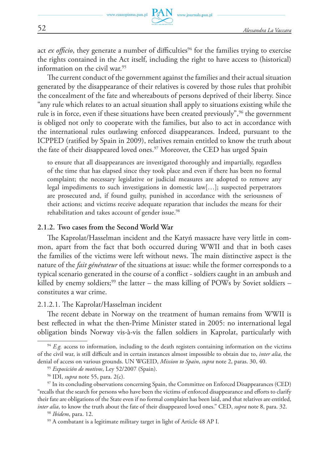

act *ex officio*, they generate a number of difficulties<sup>94</sup> for the families trying to exercise the rights contained in the Act itself, including the right to have access to (historical) information on the civil war.<sup>95</sup>

www.journals.pan.pl

The current conduct of the government against the families and their actual situation generated by the disappearance of their relatives is covered by those rules that prohibit the concealment of the fate and whereabouts of persons deprived of their liberty. Since "any rule which relates to an actual situation shall apply to situations existing while the rule is in force, even if these situations have been created previously",<sup>96</sup> the government is obliged not only to cooperate with the families, but also to act in accordance with the international rules outlawing enforced disappearances. Indeed, pursuant to the ICPPED (ratified by Spain in 2009), relatives remain entitled to know the truth about the fate of their disappeared loved ones.<sup>97</sup> Moreover, the CED has urged Spain

to ensure that all disappearances are investigated thoroughly and impartially, regardless of the time that has elapsed since they took place and even if there has been no formal complaint; the necessary legislative or judicial measures are adopted to remove any legal impediments to such investigations in domestic law[…]; suspected perpetrators are prosecuted and, if found guilty, punished in accordance with the seriousness of their actions; and victims receive adequate reparation that includes the means for their rehabilitation and takes account of gender issue.<sup>98</sup>

#### **2.1.2. Two cases from the Second World War**

The Kaprolat/Hasselman incident and the Katyń massacre have very little in common, apart from the fact that both occurred during WWII and that in both cases the families of the victims were left without news. The main distinctive aspect is the nature of the *fait générateur* of the situations at issue: while the former corresponds to a typical scenario generated in the course of a conflict - soldiers caught in an ambush and killed by enemy soldiers;<sup>99</sup> the latter – the mass killing of POWs by Soviet soldiers – constitutes a war crime.

2.1.2.1. The Kaprolat/Hasselman incident

The recent debate in Norway on the treatment of human remains from WWII is best reflected in what the then-Prime Minister stated in 2005: no international legal obligation binds Norway vis-à-vis the fallen soldiers in Kaprolat, particularly with

<sup>&</sup>lt;sup>94</sup> E.g. access to information, including to the death registers containing information on the victims of the civil war, is still difficult and in certain instances almost impossible to obtain due to, *inter alia*, the denial of access on various grounds. UN WGEID, *Mission to Spain*, *supra* note 2, paras. 30, 40.

<sup>95</sup> *Exposición de motivos*, Ley 52/2007 (Spain). 96 IDI, *supra* note 55, para. 2(c).

<sup>97</sup> In its concluding observations concerning Spain, the Committee on Enforced Disappearances (CED) "recalls that the search for persons who have been the victims of enforced disappearance and efforts to clarify their fate are obligations of the State even if no formal complaint has been laid, and that relatives are entitled, *inter alia*, to know the truth about the fate of their disappeared loved ones." CED, *supra* note 8, para. 32.

<sup>&</sup>lt;sup>98</sup> Ibidem, para. 12.<br><sup>99</sup> A combatant is a legitimate military target in light of Article 48 AP I.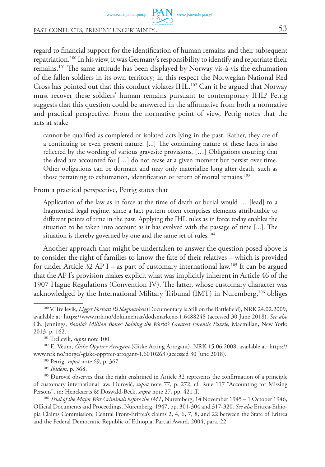PAST CONFLICTS, PRESENT UNCERTAINTY...

regard to financial support for the identification of human remains and their subsequent repatriation.<sup>100</sup> In his view, it was Germany's responsibility to identify and repatriate their remains.101 The same attitude has been displayed by Norway vis-à-vis the exhumation of the fallen soldiers in its own territory; in this respect the Norwegian National Red Cross has pointed out that this conduct violates IHL.102 Can it be argued that Norway must recover these soldiers' human remains pursuant to contemporary IHL? Petrig suggests that this question could be answered in the affirmative from both a normative and practical perspective. From the normative point of view, Petrig notes that the acts at stake

cannot be qualified as completed or isolated acts lying in the past. Rather, they are of a continuing or even present nature. [...] The continuing nature of these facts is also reflected by the wording of various gravesite provisions. […] Obligations ensuring that the dead are accounted for […] do not cease at a given moment but persist over time. Other obligations can be dormant and may only materialize long after death, such as those pertaining to exhumation, identification or return of mortal remains.<sup>103</sup>

From a practical perspective, Petrig states that

Application of the law as in force at the time of death or burial would … [lead] to a fragmented legal regime, since a fact pattern often comprises elements attributable to different points of time in the past. Applying the IHL rules as in force today enables the situation to be taken into account as it has evolved with the passage of time [...]. The situation is thereby governed by one and the same set of rules.<sup>104</sup>

Another approach that might be undertaken to answer the question posed above is to consider the right of families to know the fate of their relatives – which is provided for under Article 32 AP I – as part of customary international law.<sup>105</sup> It can be argued that the AP I's provision makes explicit what was implicitly inherent in Article 46 of the 1907 Hague Regulations (Convention IV). The latter, whose customary character was acknowledged by the International Military Tribunal (IMT) in Nuremberg,<sup>106</sup> obliges

<sup>100</sup> V. Trellevik, *Ligger Fortsatt På Slagmarken* (Documentary Is Still on the Battlefield), NRK 24.02.2009, available at: https://www.nrk.no/dokumentar/dodsmarkene-1.6488248 (accessed 30 June 2018). *See also* Ch. Jennings, *Bosnia's Million Bones: Solving the World's Greatest Forensic Puzzle*, Macmillan, New York: 2013, p. 162. 101 Trellevik, *supra* note 100.

<sup>102</sup> E. Veum, *Giske Opptrer Arrogant* (Giske Acting Arrogant), NRK 15.06.2008, available at: https:// www.nrk.no/norge/-giske-opptrer-arrogant-1.6010263 (accessed 30 June 2018). 103 Petrig, *supra* note 69, p. 367.

<sup>104</sup> *Ibidem*, p. 368.

<sup>&</sup>lt;sup>105</sup> Đurović observes that the right enshrined in Article 32 represents the confirmation of a principle of customary international law. Đurović, *supra* note 77, p. 272; cf. Rule 117 "Accounting for Missing Persons", in: Henckaerts & Doswald-Beck, *supra* note 27, pp. 421 ff.

<sup>106</sup> *Trial of the Major War Criminals before the IMT*, Nuremberg, 14 November 1945 – 1 October 1946, Official Documents and Proceedings, Nuremberg, 1947, pp. 301-304 and 317-320. *See also* Eritrea-Ethiopia Claims Commission, Central Front-Eritrea's claims 2, 4, 6, 7, 8, and 22 between the State of Eritrea and the Federal Democratic Republic of Ethiopia, Partial Award, 2004, para. 22.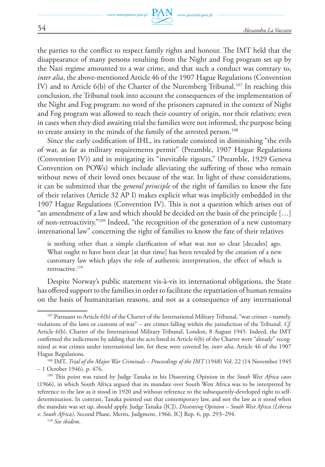the parties to the conflict to respect family rights and honour. The IMT held that the disappearance of many persons resulting from the Night and Fog program set up by the Nazi regime amounted to a war crime, and that such a conduct was contrary to, *inter alia*, the above-mentioned Article 46 of the 1907 Hague Regulations (Convention IV) and to Article 6(b) of the Charter of the Nuremberg Tribunal.<sup>107</sup> In reaching this conclusion, the Tribunal took into account the consequences of the implementation of the Night and Fog program: no word of the prisoners captured in the context of Night and Fog program was allowed to reach their country of origin, nor their relatives; even in cases when they died awaiting trial the families were not informed, the purpose being to create anxiety in the minds of the family of the arrested person.<sup>108</sup>

Since the early codification of IHL, its rationale consisted in diminishing "the evils of war, as far as military requirements permit" (Preamble, 1907 Hague Regulations (Convention IV)) and in mitigating its "inevitable rigours," (Preamble, 1929 Geneva Convention on POWs) which include alleviating the suffering of those who remain without news of their loved ones because of the war. In light of these considerations, it can be submitted that the *general principle* of the right of families to know the fate of their relatives (Article 32 AP I) makes explicit what was implicitly embedded in the 1907 Hague Regulations (Convention IV). This is not a question which arises out of "an amendment of a law and which should be decided on the basis of the principle […] of non-retroactivity."109 Indeed, "the recognition of the generation of a new customary international law" concerning the right of families to know the fate of their relatives

is nothing other than a simple clarification of what was not so clear [decades] ago. What ought to have been clear [at that time] has been revealed by the creation of a new customary law which plays the role of authentic interpretation, the effect of which is retroactive.<sup>110</sup>

Despite Norway's public statement vis-à-vis its international obligations, the State has offered support to the families in order to facilitate the repatriation of human remains on the basis of humanitarian reasons, and not as a consequence of any international

<sup>110</sup> *See ibidem*.

<sup>107</sup> Pursuant to Article 6(b) of the Charter of the International Military Tribunal, "war crimes – namely, violations of the laws or customs of war" – are crimes falling within the jurisdiction of the Tribunal. *Cf.* Article 6(b), Charter of the International Military Tribunal, London, 8 August 1945. Indeed, the IMT confirmed the indictment by adding that the acts listed in Article 6(b) of the Charter were "already" recognized as war crimes under international law, for these were covered by, *inter alia*, Article 46 of the 1907 Hague Regulations.

<sup>108</sup> IMT, *Trial of the Major War Criminals – Proceedings of the IMT* (1948) Vol. 22 (14 November 1945 – 1 October 1946), p. 476.

<sup>109</sup> This point was raised by Judge Tanaka in his Dissenting Opinion in the *South West Africa cases*  (1966), in which South Africa argued that its mandate over South West Africa was to be interpreted by reference to the law as it stood in 1920 and without reference to the subsequently-developed right to selfdetermination. In contrast, Tanaka pointed out that contemporary law, and not the law as it stood when the mandate was set up, should apply. Judge Tanaka (ICJ), *Dissenting Opinion – South West Africa (Liberia v. South Africa)*, Second Phase, Merits, Judgment, 1966, ICJ Rep. 6, pp. 293–294.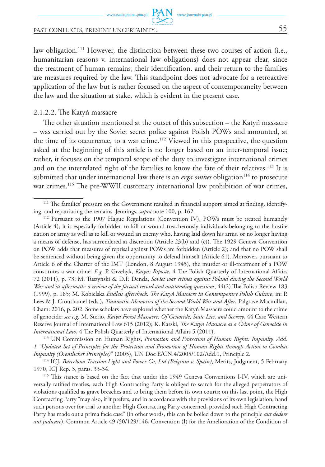PAST CONFLICTS, PRESENT UNCERTAINTY...

law obligation.111 However, the distinction between these two courses of action (i.e., humanitarian reasons v. international law obligations) does not appear clear, since the treatment of human remains, their identification, and their return to the families are measures required by the law. This standpoint does not advocate for a retroactive application of the law but is rather focused on the aspect of contemporaneity between the law and the situation at stake, which is evident in the present case.

www.journals.pan.pl

#### 2.1.2.2. The Katyń massacre

The other situation mentioned at the outset of this subsection – the Katyń massacre – was carried out by the Soviet secret police against Polish POWs and amounted, at the time of its occurrence, to a war crime.<sup>112</sup> Viewed in this perspective, the question asked at the beginning of this article is no longer based on an inter-temporal issue; rather, it focuses on the temporal scope of the duty to investigate international crimes and on the interrelated right of the families to know the fate of their relatives.<sup>113</sup> It is submitted that under international law there is an *erga omnes* obligation<sup>114</sup> to prosecute war crimes.<sup>115</sup> The pre-WWII customary international law prohibition of war crimes,

<sup>112</sup> Pursuant to the 1907 Hague Regulations (Convention IV), POWs must be treated humanely (Article 4); it is especially forbidden to kill or wound treacherously individuals belonging to the hostile nation or army as well as to kill or wound an enemy who, having laid down his arms, or no longer having a means of defense, has surrendered at discretion (Article 23(b) and (c)). The 1929 Geneva Convention on POW adds that measures of reprisal against POWs are forbidden (Article 2); and that no POW shall be sentenced without being given the opportunity to defend himself (Article 61). Moreover, pursuant to Article 6 of the Charter of the IMT (London, 8 August 1945), the murder or ill-treatment of a POW constitutes a war crime. *E.g.* P. Grzebyk, *Katyn: Riposte*, 4 The Polish Quarterly of International Affairs 72 (2011), p. 73; M. Tuszynski & D.F. Denda, *Soviet war crimes against Poland during the Second World War and its aftermath: a review of the factual record and outstanding questions*, 44(2) The Polish Review 183 (1999), p. 185; M. Kobielska *Endless aftershock. The Katyń Massacre in Contemporary Polish Culture*, in: P. Lees & J. Crouthamel (eds.), *Traumatic Memories of the Second World War and After*, Palgrave Macmillan, Cham: 2016, p. 202. Some scholars have explored whether the Katyń Massacre could amount to the crime of genocide: *see e.g.* M. Sterio, *Katyn Forest Massacre: Of Genocide, State Lies, and Secrecy*, 44 Case Western Reserve Journal of International Law 615 (2012); K. Karski, *The Katyn Massacre as a Crime of Genocide in International Law*, 4 The Polish Quarterly of International Affairs 5 (2011).

113 UN Commission on Human Rights, *Promotion and Protection of Human Rights: Impunity. Add. 1 "Updated Set of Principles for the Protection and Promotion of Human Rights through Action to Combat Impunity (Orentlicher Principles)*" (2005), UN Doc E/CN.4/2005/102/Add.1, Principle 2.

114 ICJ, *Barcelona Traction Light and Power Co, Ltd (Belgium v. Spain)*, Merits, Judgment, 5 February 1970, ICJ Rep. 3, paras. 33-34. 115 This stance is based on the fact that under the 1949 Geneva Conventions I-IV, which are uni-

versally ratified treaties, each High Contracting Party is obliged to search for the alleged perpetrators of violations qualified as grave breaches and to bring them before its own courts; on this last point, the High Contracting Party "may also, if it prefers, and in accordance with the provisions of its own legislation, hand such persons over for trial to another High Contracting Party concerned, provided such High Contracting Party has made out a prima facie case" (in other words, this can be boiled down to the principle *aut dedere aut judicare*). Common Article 49 /50/129/146, Convention (I) for the Amelioration of the Condition of

<sup>&</sup>lt;sup>111</sup> The families' pressure on the Government resulted in financial support aimed at finding, identifying, and repatriating the remains. Jennings, *supra* note 100, p. 162.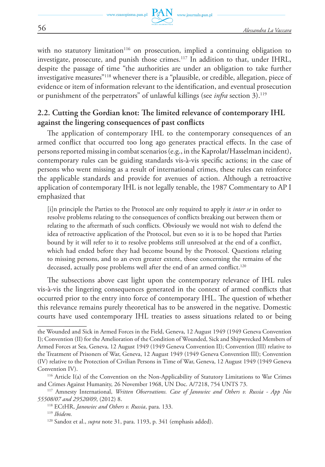with no statutory limitation<sup>116</sup> on prosecution, implied a continuing obligation to investigate, prosecute, and punish those crimes.117 In addition to that, under IHRL, despite the passage of time "the authorities are under an obligation to take further investigative measures"118 whenever there is a "plausible, or credible, allegation, piece of evidence or item of information relevant to the identification, and eventual prosecution or punishment of the perpetrators" of unlawful killings (see *infra* section 3).119

# **2.2. Cutting the Gordian knot: The limited relevance of contemporary IHL against the lingering consequences of past conflicts**

The application of contemporary IHL to the contemporary consequences of an armed conflict that occurred too long ago generates practical effects. In the case of persons reported missing in combat scenarios (e.g., in the Kaprolat/Hasselman incident), contemporary rules can be guiding standards vis-à-vis specific actions; in the case of persons who went missing as a result of international crimes, these rules can reinforce the applicable standards and provide for avenues of action. Although a retroactive application of contemporary IHL is not legally tenable, the 1987 Commentary to AP I emphasized that

[i]n principle the Parties to the Protocol are only required to apply it *inter se* in order to resolve problems relating to the consequences of conflicts breaking out between them or relating to the aftermath of such conflicts. Obviously we would not wish to defend the idea of retroactive application of the Protocol, but even so it is to be hoped that Parties bound by it will refer to it to resolve problems still unresolved at the end of a conflict, which had ended before they had become bound by the Protocol. Questions relating to missing persons, and to an even greater extent, those concerning the remains of the deceased, actually pose problems well after the end of an armed conflict.<sup>120</sup>

The subsections above cast light upon the contemporary relevance of IHL rules vis-à-vis the lingering consequences generated in the context of armed conflicts that occurred prior to the entry into force of contemporary IHL. The question of whether this relevance remains purely theoretical has to be answered in the negative. Domestic courts have used contemporary IHL treaties to assess situations related to or being

the Wounded and Sick in Armed Forces in the Field, Geneva, 12 August 1949 (1949 Geneva Convention I); Convention (II) for the Amelioration of the Condition of Wounded, Sick and Shipwrecked Members of Armed Forces at Sea, Geneva, 12 August 1949 (1949 Geneva Convention II); Convention (III) relative to the Treatment of Prisoners of War, Geneva, 12 August 1949 (1949 Geneva Convention III); Convention (IV) relative to the Protection of Civilian Persons in Time of War, Geneva, 12 August 1949 (1949 Geneva

Convention IV). 116 Article I(a) of the Convention on the Non-Applicability of Statutory Limitations to War Crimes and Crimes Against Humanity, 26 November 1968, UN Doc. A/7218, 754 UNTS 73.

<sup>117</sup> Amnesty International, *Written Observations. Case of Janowiec and Others v. Russia - App Nos 55508/07 and 29520/09*, (2012) 8.

<sup>118</sup> ECtHR, *Janowiec and Others v. Russia*, para. 133.

<sup>119</sup> *Ibidem.*

<sup>120</sup> Sandoz et al., *supra* note 31, para. 1193, p. 341 (emphasis added).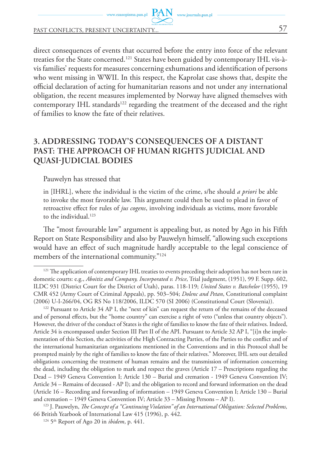$PAN$  www.journals.pan.pl www.czasopisma.pan.pl

PAST CONFLICTS, PRESENT UNCERTAINTY...

direct consequences of events that occurred before the entry into force of the relevant treaties for the State concerned.<sup>121</sup> States have been guided by contemporary IHL vis-àvis families' requests for measures concerning exhumations and identification of persons who went missing in WWII. In this respect, the Kaprolat case shows that, despite the official declaration of acting for humanitarian reasons and not under any international obligation, the recent measures implemented by Norway have aligned themselves with contemporary IHL standards<sup>122</sup> regarding the treatment of the deceased and the right of families to know the fate of their relatives.

# **3. Addressing today's consequences of a distant past: the approach of human rights judicial and quasi-judicial bodies**

Pauwelyn has stressed that

in [IHRL], where the individual is the victim of the crime, s/he should *a priori* be able to invoke the most favorable law. This argument could then be used to plead in favor of retroactive effect for rules of *jus cogens*, involving individuals as victims, more favorable to the individual.<sup>123</sup>

The "most favourable law" argument is appealing but, as noted by Ago in his Fifth Report on State Responsibility and also by Pauwelyn himself, "allowing such exceptions would have an effect of such magnitude hardly acceptable to the legal conscience of members of the international community."<sup>124</sup>

<sup>122</sup> Pursuant to Article 34 AP I, the "next of kin" can request the return of the remains of the deceased and of personal effects, but the "home country" can exercise a right of veto ("unless that country objects"). However, the driver of the conduct of States is the right of families to know the fate of their relatives. Indeed, Article 34 is encompassed under Section III Part II of the API. Pursuant to Article 32 AP I, "[i]n the implementation of this Section, the activities of the High Contracting Parties, of the Parties to the conflict and of the international humanitarian organizations mentioned in the Conventions and in this Protocol shall be prompted mainly by the right of families to know the fate of their relatives." Moreover, IHL sets out detailed obligations concerning the treatment of human remains and the transmission of information concerning the dead, including the obligation to mark and respect the graves (Article 17 – Prescriptions regarding the Dead – 1949 Geneva Convention I; Article 130 – Burial and cremation - 1949 Geneva Convention IV; Article 34 – Remains of deceased - AP I); and the obligation to record and forward information on the dead (Article 16 – Recording and forwarding of information – 1949 Geneva Convention I; Article 130 – Burial and cremation – 1949 Geneva Convention IV; Article 33 – Missing Persons – AP I).

<sup>&</sup>lt;sup>121</sup> The application of contemporary IHL treaties to events preceding their adoption has not been rare in domestic courts: e.g., *Aboitiz and Company, Incorporated v. Price*, Trial judgment, (1951), 99 F. Supp. 602, ILDC 931 (District Court for the District of Utah), paras. 118-119; *United States v. Batchelor* (1955), 19 CMR 452 (Army Court of Criminal Appeals), pp. 503–504; *Dolenc and Petan*, Constitutional complaint (2006) U-I-266/04, OG RS No 118/2006, ILDC 570 (SI 2006) (Constitutional Court (Slovenia)).

<sup>123</sup> J. Pauwelyn, *The Concept of a "Continuing Violation" of an International Obligation: Selected Problems,* 66 British Yearbook of International Law 415 (1996), p. 442. 124 5th Report of Ago 20 in *ibidem*, p. 441.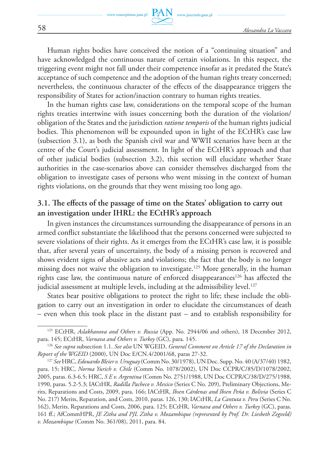Human rights bodies have conceived the notion of a "continuing situation" and have acknowledged the continuous nature of certain violations. In this respect, the triggering event might not fall under their competence insofar as it predated the State's acceptance of such competence and the adoption of the human rights treaty concerned; nevertheless, the continuous character of the effects of the disappearance triggers the responsibility of States for action/inaction contrary to human rights treaties.

In the human rights case law, considerations on the temporal scope of the human rights treaties intertwine with issues concerning both the duration of the violation/ obligation of the States and the jurisdiction *ratione temporis* of the human rights judicial bodies. This phenomenon will be expounded upon in light of the ECtHR's case law (subsection 3.1), as both the Spanish civil war and WWII scenarios have been at the centre of the Court's judicial assessment. In light of the ECtHR's approach and that of other judicial bodies (subsection 3.2), this section will elucidate whether State authorities in the case-scenarios above can consider themselves discharged from the obligation to investigate cases of persons who went missing in the context of human rights violations, on the grounds that they went missing too long ago.

# **3.1. The effects of the passage of time on the States' obligation to carry out an investigation under IHRL: the ECtHR's approach**

In given instances the circumstances surrounding the disappearance of persons in an armed conflict substantiate the likelihood that the persons concerned were subjected to severe violations of their rights. As it emerges from the ECtHR's case law, it is possible that, after several years of uncertainty, the body of a missing person is recovered and shows evident signs of abusive acts and violations; the fact that the body is no longer missing does not waive the obligation to investigate.125 More generally, in the human rights case law, the continuous nature of enforced disappearances<sup>126</sup> has affected the judicial assessment at multiple levels, including at the admissibility level.<sup>127</sup>

States bear positive obligations to protect the right to life; these include the obligation to carry out an investigation in order to elucidate the circumstances of death – even when this took place in the distant past – and to establish responsibility for

<sup>125</sup> ECtHR, *Aslakhanova and Others v. Russia* (App. No. 2944/06 and others), 18 December 2012, para. 145; ECtHR, *Varnava and Others v. Turkey* (GC), para. 145.

<sup>126</sup> *See supra* subsection 1.1. *See also* UN WGEID, *General Comment on Article 17 of the Declaration in Report of the WGEID* (2000), UN Doc E/CN.4/2001/68, paras 27-32.

<sup>127</sup> *See* HRC, *Edouardo Bleier v. Uruguay* (Comm No. 30/1978), UN Doc. Supp. No. 40 (A/37/40) 1982, para. 15; HRC, *Norma Yurich v. Chile* (Comm No. 1078/2002), UN Doc CCPR/C/85/D/1078/2002, 2005, paras. 6.3-6.5; HRC, *S E v. Argentina* (Comm No. 2751/1988, UN Doc CCPR/C/38/D/275/1988, 1990, paras. 5.2-5.3; IACtHR, *Radilla Pacheco v. Mexico* (Series C No. 209), Preliminary Objections, Merits, Reparations and Costs, 2009, para. 166; IACtHR, *Ibsen Cárdenas and Ibsen Peña v. Bolivia* (Series C No. 217) Merits, Reparation, and Costs, 2010, paras. 126, 130; IACtHR, *La Cantuta v. Peru* (Series C No. 162), Merits, Reparations and Costs, 2006, para. 125; ECtHR, *Varnava and Others v. Turkey* (GC), paras. 161 ff.; AfCommHPR, *JE Zitha and PJL Zitha v. Mozambique (represented by Prof. Dr. Liesbeth Zegveld) v. Mozambique* (Comm No. 361/08), 2011, para. 84.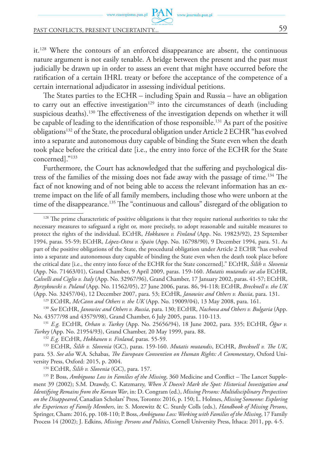### PAST CONFLICTS, PRESENT UNCERTAINTY...

it.128 Where the contours of an enforced disappearance are absent, the continuous nature argument is not easily tenable. A bridge between the present and the past must judicially be drawn up in order to assess an event that might have occurred before the ratification of a certain IHRL treaty or before the acceptance of the competence of a certain international adjudicator in assessing individual petitions.

The States parties to the ECHR – including Spain and Russia – have an obligation to carry out an effective investigation<sup>129</sup> into the circumstances of death (including suspicious deaths).<sup>130</sup> The effectiveness of the investigation depends on whether it will be capable of leading to the identification of those responsible.<sup>131</sup> As part of the positive obligations<sup>132</sup> of the State, the procedural obligation under Article 2 ECHR "has evolved into a separate and autonomous duty capable of binding the State even when the death took place before the critical date [i.e., the entry into force of the ECHR for the State concerned]."133

Furthermore, the Court has acknowledged that the suffering and psychological distress of the families of the missing does not fade away with the passage of time.<sup>134</sup> The fact of not knowing and of not being able to access the relevant information has an extreme impact on the life of all family members, including those who were unborn at the time of the disappearance.<sup>135</sup> The "continuous and callous" disregard of the obligation to

<sup>128</sup> The prime characteristic of positive obligations is that they require national authorities to take the necessary measures to safeguard a right or, more precisely, to adopt reasonable and suitable measures to protect the rights of the individual. ECtHR, *Hokkanen v. Finland* (App. No. 19823/92), 23 September 1994, paras. 55-59; ECtHR, *López-Ostra v. Spain* (App. No. 16798/90), 9 December 1994, para. 51. As part of the positive obligations of the State, the procedural obligation under Article 2 ECHR "has evolved into a separate and autonomous duty capable of binding the State even when the death took place before the critical date [i.e., the entry into force of the ECHR for the State concerned]." ECtHR, *Šilih v. Slovenia* (App. No. 71463/01), Grand Chamber, 9 April 2009, paras. 159-160. *Mutatis mutandis see also* ECtHR, *Calvelli and Ciglio v. Italy* (App. No. 32967/96), Grand Chamber, 17 January 2002, paras. 41-57; ECtHR, *Byrzykowski v. Poland* (App. No. 11562/05), 27 June 2006, paras. 86, 94-118; ECtHR, *Brecknell v. the UK* (App. No. 32457/04), 12 December 2007, para. 53; ECtHR, *Janowiec and Others v. Russia*, para. 131.

<sup>129</sup> ECtHR, *McCann and Others v. the UK* (App. No. 19009/04), 13 May 2008, para. 161. 130 *See* ECtHR, *Janowiec and Others v. Russia*, para. 130; ECtHR, *Nachova and Others v. Bulgaria* (App.

No. 43577/98 and 43579/98), Grand Chamber, 6 July 2005, paras. 110-113.

<sup>131</sup> *E.g.* ECtHR, *Orhan v. Turkey* (App. No. 25656/94), 18 June 2002, para. 335; ECtHR, *Öğur v. Turkey* (App. No. 21954/93), Grand Chamber, 20 May 1999, para. 88.

<sup>132</sup> *E.g.* ECtHR, *Hokkanen v. Finland*, paras. 55-59. 133 ECtHR, *Šilih v. Slovenia* (GC), paras. 159-160. *Mutatis mutandis*, ECtHR, *Brecknell v. The UK*, para. 53. *See also* W.A. Schabas, *The European Convention on Human Rights: A Commentary*, Oxford University Press, Oxford: 2015, p. 2004.

<sup>134</sup> ECtHR, *Šilih v. Slovenia* (GC), para. 157.<br><sup>135</sup> P. Boss, *Ambiguous Loss in Families of the Missing*, 360 Medicine and Conflict – The Lancet Supplement 39 (2002); S.M. Drawdy, C. Katzmarzy, *When X Doesn't Mark the Spot: Historical Investigation and Identifying Remains from the Korean War*, in: D. Congram (ed.), *Missing Persons: Multidisciplinary Perspectives on the Disappeared*, Canadian Scholars' Press, Toronto: 2016, p. 150; L. Holmes, *Missing Someone: Exploring the Experiences of Family Members*, in: S. Morewitz & C. Sturdy Colls (eds.), *Handbook of Missing Persons*, Springer, Cham: 2016, pp. 108-110; P. Boss, *Ambiguous Loss: Working with Families of the Missing*, 17 Family Process 14 (2002); J. Edkins, *Missing: Persons and Politics*, Cornell University Press, Ithaca: 2011, pp. 4-5.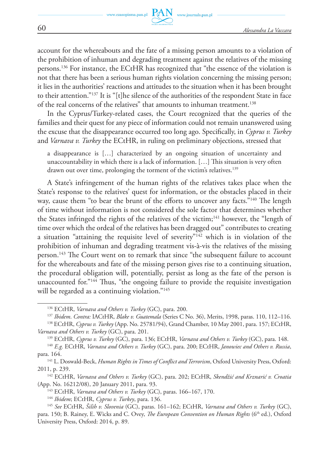account for the whereabouts and the fate of a missing person amounts to a violation of the prohibition of inhuman and degrading treatment against the relatives of the missing persons.136 For instance, the ECtHR has recognized that "the essence of the violation is not that there has been a serious human rights violation concerning the missing person; it lies in the authorities' reactions and attitudes to the situation when it has been brought to their attention."137 It is "[t]he silence of the authorities of the respondent State in face of the real concerns of the relatives" that amounts to inhuman treatment.<sup>138</sup>

In the Cyprus/Turkey-related cases, the Court recognized that the queries of the families and their quest for any piece of information could not remain unanswered using the excuse that the disappearance occurred too long ago. Specifically, in *Cyprus v. Turkey* and *Varnava v. Turkey* the ECtHR, in ruling on preliminary objections, stressed that

a disappearance is […] characterized by an ongoing situation of uncertainty and unaccountability in which there is a lack of information. […] This situation is very often drawn out over time, prolonging the torment of the victim's relatives.<sup>139</sup>

A State's infringement of the human rights of the relatives takes place when the State's response to the relatives' quest for information, or the obstacles placed in their way, cause them "to bear the brunt of the efforts to uncover any facts."<sup>140</sup> The length of time without information is not considered the sole factor that determines whether the States infringed the rights of the relatives of the victim;<sup>141</sup> however, the "length of time over which the ordeal of the relatives has been dragged out" contributes to creating a situation "attaining the requisite level of severity"142 which is in violation of the prohibition of inhuman and degrading treatment vis-à-vis the relatives of the missing person.143 The Court went on to remark that since "the subsequent failure to account for the whereabouts and fate of the missing person gives rise to a continuing situation, the procedural obligation will, potentially, persist as long as the fate of the person is unaccounted for."144 Thus, "the ongoing failure to provide the requisite investigation will be regarded as a continuing violation."<sup>145</sup>

<sup>136</sup> ECtHR, *Varnava and Others v. Turkey* (GC), para. 200.

<sup>137</sup> *Ibidem*. *Contra:* IACtHR, *Blake v. Guatemala* (Series C No. 36), Merits, 1998, paras. 110, 112–116.

<sup>138</sup> ECtHR, *Cyprus v. Turkey* (App. No. 25781/94), Grand Chamber, 10 May 2001, para. 157; ECtHR, *Varnava and Others v. Turkey* (GC), para. 201.

<sup>&</sup>lt;sup>139</sup> ECtHR, *Cyprus v. Turkey* (GC), para. 136; ECtHR, *Varnava and Others v. Turkey* (GC), para. 148.<br><sup>140</sup> E.g. ECtHR, *Varnava and Others v. Turkey* (GC), para. 200; ECtHR, *Janowiec and Others v. Russia*,

para. 164.

<sup>141</sup> L. Doswald-Beck, *Human Rights in Times of Conflict and Terrorism*, Oxford University Press, Oxford: 2011, p. 239.

<sup>142</sup> ECtHR, *Varnava and Others v. Turkey* (GC), para. 202; ECtHR, *Skendžić and Krznarić v. Croatia* (App. No. 16212/08), 20 January 2011, para. 93. 143 ECtHR, *Varnava and Others v. Turkey* (GC), paras. 166–167, 170.

<sup>144</sup> *Ibidem*; ECtHR, *Cyprus v. Turkey*, para. 136.

<sup>145</sup> *See* ECtHR, *Šilih v. Slovenia* (GC), paras. 161–162; ECtHR, *Varnava and Others v. Turkey* (GC), para. 150; B. Rainey, E. Wicks and C. Ovey, *The European Convention on Human Rights* (6<sup>th</sup> ed.), Oxford University Press, Oxford: 2014, p. 89.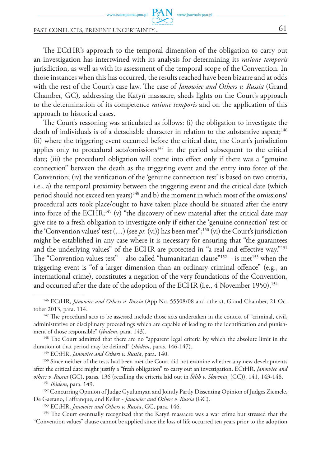PAST CONFLICTS, PRESENT UNCERTAINTY... 61

The ECtHR's approach to the temporal dimension of the obligation to carry out an investigation has intertwined with its analysis for determining its *ratione temporis*  jurisdiction, as well as with its assessment of the temporal scope of the Convention. In those instances when this has occurred, the results reached have been bizarre and at odds with the rest of the Court's case law. The case of *Janowiec and Others v. Russia* (Grand Chamber, GC)*,* addressing the Katyń massacre, sheds lights on the Court's approach to the determination of its competence *ratione temporis* and on the application of this approach to historical cases.

www.journals.pan.pl

The Court's reasoning was articulated as follows: (i) the obligation to investigate the death of individuals is of a detachable character in relation to the substantive aspect;<sup>146</sup> (ii) where the triggering event occurred before the critical date, the Court's jurisdiction applies only to procedural acts/omissions $147$  in the period subsequent to the critical date; (iii) the procedural obligation will come into effect only if there was a "genuine connection" between the death as the triggering event and the entry into force of the Convention; (iv) the verification of the 'genuine connection test' is based on two criteria, i.e., a) the temporal proximity between the triggering event and the critical date (which period should not exceed ten years)148 and b) the moment in which most of the omissions/ procedural acts took place/ought to have taken place should be situated after the entry into force of the ECHR;<sup>149</sup> (v) "the discovery of new material after the critical date may give rise to a fresh obligation to investigate only if either the 'genuine connection' test or the 'Convention values' test (…) (see *pt.* (vi)) has been met";150 (vi) the Court's jurisdiction might be established in any case where it is necessary for ensuring that "the guarantees and the underlying values" of the ECHR are protected in "a real and effective way."151 The "Convention values test" – also called "humanitarian clause" $152$  – is met $153$  when the triggering event is "of a larger dimension than an ordinary criminal offence" (e.g., an international crime), constitutes a negation of the very foundations of the Convention, and occurred after the date of the adoption of the ECHR (i.e., 4 November 1950).154

<sup>149</sup> ECtHR, *Janowiec and Others v. Russia*, para. 140.<br><sup>150</sup> Since neither of the tests had been met the Court did not examine whether any new developments after the critical date might justify a "fresh obligation" to carry out an investigation. ECtHR, *Janowiec and others v. Russia* (GC), paras. 136 (recalling the criteria laid out in *Šilih v. Slovenia*, (GC)), 141, 143-148. 151 *Ibidem*, para. 149.

<sup>153</sup> ECtHR, *Janowiec and Others v. Russia*, GC, para. 146.

<sup>154</sup> The Court eventually recognized that the Katyń massacre was a war crime but stressed that the "Convention values" clause cannot be applied since the loss of life occurred ten years prior to the adoption

<sup>146</sup> ECtHR, *Janowiec and Others v. Russia* (App No. 55508/08 and others), Grand Chamber, 21 October 2013, para. 114.

<sup>&</sup>lt;sup>147</sup> The procedural acts to be assessed include those acts undertaken in the context of "criminal, civil, administrative or disciplinary proceedings which are capable of leading to the identification and punishment of those responsible" (*ibidem*, para. 143).

<sup>&</sup>lt;sup>148</sup> The Court admitted that there are no "apparent legal criteria by which the absolute limit in the duration of that period may be defined" (*ibidem*, paras. 146-147).

<sup>&</sup>lt;sup>152</sup> Concurring Opinion of Judge Gyulumyan and Jointly Partly Dissenting Opinion of Judges Ziemele, De Gaetano, Laffranque, and Keller - *Janowiec and Others v. Russia* (GC).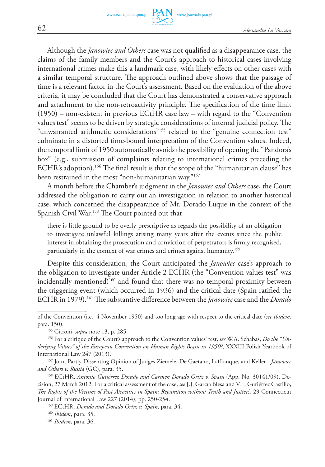Although the *Janowiec and Others* case was not qualified as a disappearance case, the claims of the family members and the Court's approach to historical cases involving international crimes make this a landmark case, with likely effects on other cases with a similar temporal structure. The approach outlined above shows that the passage of time is a relevant factor in the Court's assessment. Based on the evaluation of the above criteria*,* it may be concluded that the Court has demonstrated a conservative approach and attachment to the non-retroactivity principle. The specification of the time limit (1950) – non-existent in previous ECtHR case law – with regard to the "Convention values test" seems to be driven by strategic considerations of internal judicial policy. The "unwarranted arithmetic considerations"<sup>155</sup> related to the "genuine connection test" culminate in a distorted time-bound interpretation of the Convention values. Indeed, the temporal limit of 1950 automatically avoids the possibility of opening the "Pandora's box" (e.g., submission of complaints relating to international crimes preceding the ECHR's adoption).<sup>156</sup> The final result is that the scope of the "humanitarian clause" has been restrained in the most "non-humanitarian way."157

A month before the Chamber's judgment in the *Janowiec and Others* case, the Court addressed the obligation to carry out an investigation in relation to another historical case, which concerned the disappearance of Mr. Dorado Luque in the context of the Spanish Civil War.158 The Court pointed out that

there is little ground to be overly prescriptive as regards the possibility of an obligation to investigate unlawful killings arising many years after the events since the public interest in obtaining the prosecution and conviction of perpetrators is firmly recognised, particularly in the context of war crimes and crimes against humanity.<sup>159</sup>

Despite this consideration, the Court anticipated the *Janowiec* case's approach to the obligation to investigate under Article 2 ECHR (the "Convention values test" was incidentally mentioned)<sup>160</sup> and found that there was no temporal proximity between the triggering event (which occurred in 1936) and the critical date (Spain ratified the ECHR in 1979).161 The substantive difference between the *Janowiec* case and the *Dorado* 

of the Convention (i.e., 4 November 1950) and too long ago with respect to the critical date (*see ibidem*, para. 150).

<sup>155</sup> Citroni, *supra* note 13, p. 285.

<sup>156</sup> For a critique of the Court's approach to the Convention values' test, *see* W.A. Schabas, *Do the "Underlying Values" of the European Convention on Human Rights Begin in 1950?*, XXXIII Polish Yearbook of International Law 247 (2013).

<sup>157</sup> Joint Partly Dissenting Opinion of Judges Ziemele, De Gaetano, Laffranque, and Keller - *Janowiec and Others v. Russia* (GC), para. 35.

<sup>158</sup> ECtHR, *Antonio Gutiérrez Dorado and Carmen Dorado Ortiz v. Spain* (App. No. 30141/09), Decision, 27 March 2012. For a critical assessment of the case, *see* J.J. García Blesa and V.L. Gutiérrez Castillo, *The Rights of the Victims of Past Atrocities in Spain: Reparation without Truth and Justice?*, 29 Connecticut Journal of International Law 227 (2014), pp. 250-254.

<sup>159</sup> ECtHR, *Dorado and Dorado Ortiz v. Spain*, para. 34.

<sup>160</sup> *Ibidem*, para. 35.

<sup>161</sup> *Ibidem*, para. 36.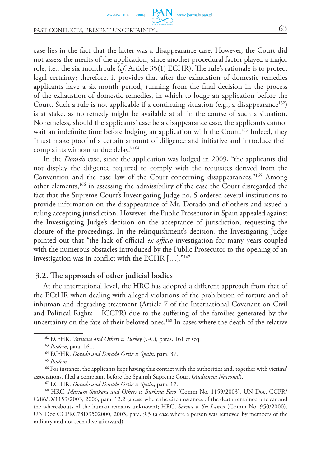# PAST CONFLICTS, PRESENT UNCERTAINTY... 63

case lies in the fact that the latter was a disappearance case. However, the Court did not assess the merits of the application, since another procedural factor played a major role, i.e., the six-month rule (*cf.* Article 35(1) ECHR). The rule's rationale is to protect legal certainty; therefore, it provides that after the exhaustion of domestic remedies applicants have a six-month period, running from the final decision in the process of the exhaustion of domestic remedies, in which to lodge an application before the Court. Such a rule is not applicable if a continuing situation (e.g., a disappearance<sup>162</sup>) is at stake, as no remedy might be available at all in the course of such a situation. Nonetheless, should the applicants' case be a disappearance case, the applicants cannot wait an indefinite time before lodging an application with the Court.<sup>163</sup> Indeed, they "must make proof of a certain amount of diligence and initiative and introduce their complaints without undue delay."164

www.journals.pan.pl

In the *Dorado* case, since the application was lodged in 2009, "the applicants did not display the diligence required to comply with the requisites derived from the Convention and the case law of the Court concerning disappearances."165 Among other elements,166 in assessing the admissibility of the case the Court disregarded the fact that the Supreme Court's Investigating Judge no. 5 ordered several institutions to provide information on the disappearance of Mr. Dorado and of others and issued a ruling accepting jurisdiction. However, the Public Prosecutor in Spain appealed against the Investigating Judge's decision on the acceptance of jurisdiction, requesting the closure of the proceedings. In the relinquishment's decision, the Investigating Judge pointed out that "the lack of official *ex officio* investigation for many years coupled with the numerous obstacles introduced by the Public Prosecutor to the opening of an investigation was in conflict with the ECHR […]."167

#### **3.2. The approach of other judicial bodies**

At the international level, the HRC has adopted a different approach from that of the ECtHR when dealing with alleged violations of the prohibition of torture and of inhuman and degrading treatment (Article 7 of the International Covenant on Civil and Political Rights – ICCPR) due to the suffering of the families generated by the uncertainty on the fate of their beloved ones.168 In cases where the death of the relative

<sup>162</sup> ECtHR, *Varnava and Others v. Turkey* (GC), paras. 161 et seq.

<sup>163</sup> *Ibidem*, para. 161.

<sup>164</sup> ECtHR, *Dorado and Dorado Ortiz v. Spain*, para. 37.

<sup>165</sup> *Ibidem.*

<sup>166</sup> For instance, the applicants kept having this contact with the authorities and, together with victims' associations, filed a complaint before the Spanish Supreme Court (*Audiencia Nacional*). 167 ECtHR, *Dorado and Dorado Ortiz v. Spain*, para. 17.

<sup>168</sup> HRC, *Mariam Sankara and Others v. Burkina Faso* (Comm No. 1159/2003), UN Doc. CCPR/ C/86/D/1159/2003, 2006, para. 12.2 (a case where the circumstances of the death remained unclear and the whereabouts of the human remains unknown); HRC, *Sarma v. Sri Lanka* (Comm No. 950/2000), UN Doc CCPRC78D9502000, 2003, para. 9.5 (a case where a person was removed by members of the military and not seen alive afterward).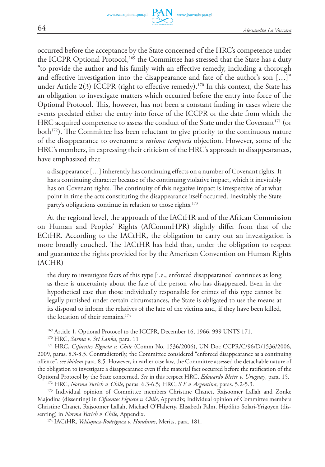occurred before the acceptance by the State concerned of the HRC's competence under the ICCPR Optional Protocol,<sup>169</sup> the Committee has stressed that the State has a duty "to provide the author and his family with an effective remedy, including a thorough and effective investigation into the disappearance and fate of the author's son […]" under Article  $2(3)$  ICCPR (right to effective remedy).<sup>170</sup> In this context, the State has an obligation to investigate matters which occurred before the entry into force of the Optional Protocol. This, however, has not been a constant finding in cases where the events predated either the entry into force of the ICCPR or the date from which the HRC acquired competence to assess the conduct of the State under the Covenant<sup>171</sup> (or  $both<sup>172</sup>$ . The Committee has been reluctant to give priority to the continuous nature of the disappearance to overcome a *ratione temporis* objection. However, some of the HRC's members, in expressing their criticism of the HRC's approach to disappearances, have emphasized that

a disappearance […] inherently has continuing effects on a number of Covenant rights. It has a continuing character because of the continuing violative impact, which it inevitably has on Covenant rights. The continuity of this negative impact is irrespective of at what point in time the acts constituting the disappearance itself occurred. Inevitably the State party's obligations continue in relation to those rights.<sup>173</sup>

At the regional level, the approach of the IACtHR and of the African Commission on Human and Peoples' Rights (AfCommHPR) slightly differ from that of the ECtHR. According to the IACtHR, the obligation to carry out an investigation is more broadly couched. The IACtHR has held that, under the obligation to respect and guarantee the rights provided for by the American Convention on Human Rights (ACHR)

the duty to investigate facts of this type [i.e., enforced disappearance] continues as long as there is uncertainty about the fate of the person who has disappeared. Even in the hypothetical case that those individually responsible for crimes of this type cannot be legally punished under certain circumstances, the State is obligated to use the means at its disposal to inform the relatives of the fate of the victims and, if they have been killed, the location of their remains.174

 $^{169}$  Article 1, Optional Protocol to the ICCPR, December 16, 1966, 999 UNTS 171.  $^{170}$  HRC, *Sarma v. Sri Lanka*, para. 11

<sup>&</sup>lt;sup>171</sup> HRC, *Cifuentes Elgueta v. Chile* (Comm No. 1536/2006), UN Doc CCPR/C/96/D/1536/2006, 2009, paras. 8.3-8.5. Contradictorily, the Committee considered "enforced disappearance as a continuing offence", *see ibidem* para. 8.5. However, in earlier case law, the Committee assessed the detachable nature of the obligation to investigate a disappearance even if the material fact occurred before the ratification of the Optional Protocol by the State concerned. *See* in this respect HRC, *Edouardo Bleier v. Uruguay*, para. 15.

<sup>172</sup> HRC, *Norma Yurich v. Chile*, paras. 6.3-6.5; HRC, *S E v. Argentina*, paras. 5.2-5.3.

<sup>&</sup>lt;sup>173</sup> Individual opinion of Committee members Christine Chanet, Rajsoomer Lallah and Zonke Majodina (dissenting) in *Cifuentes Elgueta v. Chile*, Appendix; Individual opinion of Committee members Christine Chanet, Rajsoomer Lallah, Michael O'Flaherty, Elisabeth Palm, Hipólito Solari-Yrigoyen (dissenting) in *Norma Yurich v. Chile*, Appendix.

<sup>174</sup> IACtHR, *Velásquez-Rodríguez v. Honduras*, Merits, para. 181.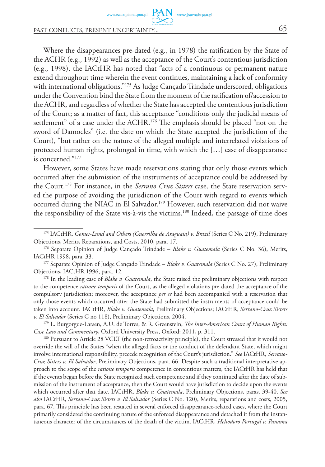$PAN$  www.journals.pan.pl www.czasopisma.pan.pl

### PAST CONFLICTS, PRESENT UNCERTAINTY... 65

Where the disappearances pre-dated (e.g., in 1978) the ratification by the State of the ACHR (e.g., 1992) as well as the acceptance of the Court's contentious jurisdiction (e.g., 1998), the IACtHR has noted that "acts of a continuous or permanent nature extend throughout time wherein the event continues, maintaining a lack of conformity with international obligations."175 As Judge Cançado Trindade underscored, obligations under the Convention bind the State from the moment of the ratification of/accession to the ACHR, and regardless of whether the State has accepted the contentious jurisdiction of the Court; as a matter of fact, this acceptance "conditions only the judicial means of settlement" of a case under the ACHR. 176 The emphasis should be placed "not on the sword of Damocles" (i.e. the date on which the State accepted the jurisdiction of the Court), "but rather on the nature of the alleged multiple and interrelated violations of protected human rights, prolonged in time, with which the […] case of disappearance is concerned."177

However, some States have made reservations stating that only those events which occurred after the submission of the instruments of acceptance could be addressed by the Court.178 For instance, in the *Serrano Cruz Sisters* case*,* the State reservation served the purpose of avoiding the jurisdiction of the Court with regard to events which occurred during the NIAC in El Salvador.179 However, such reservation did not waive the responsibility of the State vis-à-vis the victims.180 Indeed, the passage of time does

<sup>175</sup> IACtHR, *Gomes-Lund and Others (Guerrilha do Araguaia) v. Brazil* (Series C No. 219), Preliminary Objections, Merits, Reparations, and Costs, 2010, para. 17. 176 Separate Opinion of Judge Cançado Trindade – *Blake v. Guatemala* (Series C No. 36), Merits,

IACtHR 1998, para. 33.

<sup>177</sup> Separate Opinion of Judge Cançado Trindade – *Blake v. Guatemala* (Series C No. 27), Preliminary Objections, IACtHR 1996, para. 12.

<sup>&</sup>lt;sup>178</sup> In the leading case of *Blake v. Guatemala*, the State raised the preliminary objections with respect to the competence *ratione temporis* of the Court, as the alleged violations pre-dated the acceptance of the compulsory jurisdiction; moreover, the acceptance *per se* had been accompanied with a reservation that only those events which occurred after the State had submitted the instruments of acceptance could be taken into account. IACtHR, *Blake v. Guatemala*, Preliminary Objections; IACtHR, *Serrano-Cruz Sisters v. El Salvador* (Series C no 118), Preliminary Objections, 2004.

<sup>179</sup> L. Burgorgue-Larsen, A.U. de Torres, & R. Greenstein, *The Inter-American Court of Human Rights: Case Law and Commentary*, Oxford University Press, Oxford: 2011, p. 311. 180 Pursuant to Article 28 VCLT (the non-retroactivity principle), the Court stressed that it would not

override the will of the States "when the alleged facts or the conduct of the defendant State, which might involve international responsibility, precede recognition of the Court's jurisdiction." *See* IACtHR, *Serrano-Cruz Sisters v. El Salvador*, Preliminary Objections, para. 66. Despite such a traditional interpretative approach to the scope of the *ratione temporis* competence in contentious matters, the IACtHR has held that if the events began before the State recognized such competence and if they continued after the date of submission of the instrument of acceptance, then the Court would have jurisdiction to decide upon the events which occurred after that date. IACtHR, *Blake v. Guatemala*, Preliminary Objections, paras. 39-40. *See also* IACtHR, *Serrano-Cruz Sisters v. El Salvador* (Series C No. 120), Merits, reparations and costs, 2005, para. 67. This principle has been restated in several enforced disappearance-related cases, where the Court primarily considered the continuing nature of the enforced disappearance and detached it from the instantaneous character of the circumstances of the death of the victim. IACtHR, *Heliodoro Portugal v. Panama*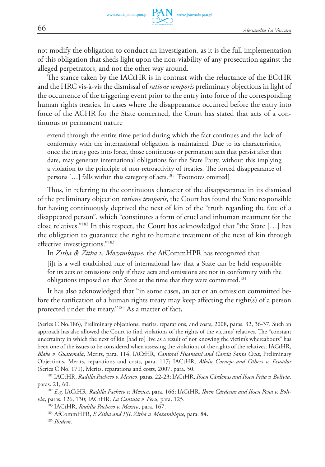not modify the obligation to conduct an investigation, as it is the full implementation of this obligation that sheds light upon the non-viability of any prosecution against the alleged perpetrators, and not the other way around.

The stance taken by the IACtHR is in contrast with the reluctance of the ECtHR and the HRC vis-à-vis the dismissal of *ratione temporis* preliminary objections in light of the occurrence of the triggering event prior to the entry into force of the corresponding human rights treaties. In cases where the disappearance occurred before the entry into force of the ACHR for the State concerned, the Court has stated that acts of a continuous or permanent nature

extend through the entire time period during which the fact continues and the lack of conformity with the international obligation is maintained. Due to its characteristics, once the treaty goes into force, those continuous or permanent acts that persist after that date, may generate international obligations for the State Party, without this implying a violation to the principle of non-retroactivity of treaties. The forced disappearance of persons [...] falls within this category of acts.<sup>181</sup> [Footnotes omitted]

Thus, in referring to the continuous character of the disappearance in its dismissal of the preliminary objection *ratione temporis*, the Court has found the State responsible for having continuously deprived the next of kin of the "truth regarding the fate of a disappeared person", which "constitutes a form of cruel and inhuman treatment for the close relatives."182 In this respect, the Court has acknowledged that "the State […] has the obligation to guarantee the right to humane treatment of the next of kin through effective investigations."183

In *Zitha & Zitha v. Mozambique*, the AfCommHPR has recognized that

[i]t is a well-established rule of international law that a State can be held responsible for its acts or omissions only if these acts and omissions are not in conformity with the obligations imposed on that State at the time that they were committed.184

It has also acknowledged that "in some cases, an act or an omission committed before the ratification of a human rights treaty may keep affecting the right(s) of a person protected under the treaty."185 As a matter of fact,

<sup>(</sup>Series C No.186), Preliminary objections, merits, reparations, and costs, 2008, paras. 32, 36-37. Such an approach has also allowed the Court to find violations of the rights of the victims' relatives. The "constant uncertainty in which the next of kin [had to] live as a result of not knowing the victim's whereabouts" has been one of the issues to be considered when assessing the violations of the rights of the relatives. IACtHR, *Blake v. Guatemala*, Merits, para. 114; IACtHR, *Cantoral Huamaní and García Santa Cruz*, Preliminary Objections, Merits, reparations and costs, para. 117; IACtHR, *Albán Cornejo and Others v. Ecuador* (Series C No. 171), Merits, reparations and costs, 2007, para. 50. 181 IACtHR, *Radilla Pacheco v. Mexico*, paras. 22-23; IACtHR, *Ibsen Cárdenas and Ibsen Peña v. Bolivia*,

paras. 21, 60.

<sup>182</sup> *E.g.* IACtHR, *Radilla Pacheco v. Mexico*, para. 166; IACtHR, *Ibsen Cárdenas and Ibsen Peña v. Bolivia*, paras. 126, 130; IACtHR, *La Cantuta v. Peru*, para. 125.

<sup>183</sup> IACtHR, *Radilla Pacheco v. Mexico*, para. 167. 184 AfCommHPR, *E Zitha and PJL Zitha v. Mozambique*, para. 84. 185 *Ibidem*.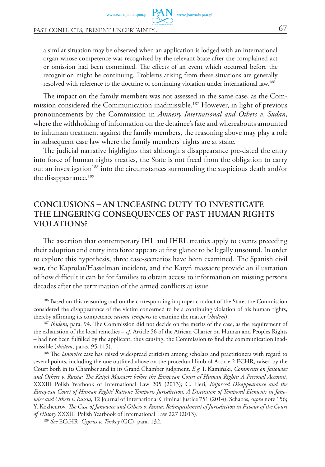a similar situation may be observed when an application is lodged with an international organ whose competence was recognized by the relevant State after the complained act or omission had been committed. The effects of an event which occurred before the recognition might be continuing. Problems arising from these situations are generally resolved with reference to the doctrine of continuing violation under international law.186

www.journals.pan.pl

The impact on the family members was not assessed in the same case, as the Commission considered the Communication inadmissible.187 However, in light of previous pronouncements by the Commission in *Amnesty International and Others v. Sudan*, where the withholding of information on the detainee's fate and whereabouts amounted to inhuman treatment against the family members, the reasoning above may play a role in subsequent case law where the family members' rights are at stake.

The judicial narrative highlights that although a disappearance pre-dated the entry into force of human rights treaties, the State is not freed from the obligation to carry out an investigation<sup>188</sup> into the circumstances surrounding the suspicious death and/or the disappearance.<sup>189</sup>

# **Conclusions – An unceasing duty to investigate the lingering consequences of past human rights violations?**

The assertion that contemporary IHL and IHRL treaties apply to events preceding their adoption and entry into force appears at first glance to be legally unsound. In order to explore this hypothesis, three case-scenarios have been examined. The Spanish civil war, the Kaprolat/Hasselman incident, and the Katyń massacre provide an illustration of how difficult it can be for families to obtain access to information on missing persons decades after the termination of the armed conflicts at issue.

<sup>186</sup> Based on this reasoning and on the corresponding improper conduct of the State, the Commission considered the disappearance of the victim concerned to be a continuing violation of his human rights, thereby affirming its competence *ratione temporis* to examine the matter (*ibidem*).

<sup>&</sup>lt;sup>187</sup> Ibidem, para. 94. The Commission did not decide on the merits of the case, as the requirement of the exhaustion of the local remedies – *cf.* Article 56 of the African Charter on Human and Peoples Rights – had not been fulfilled by the applicant, thus causing, the Commission to find the communication inadmissible (*ibidem*, paras. 95-115).

<sup>188</sup> The *Janowiec* case has raised widespread criticism among scholars and practitioners with regard to several points, including the one outlined above on the procedural limb of Article 2 ECHR, raised by the Court both in its Chamber and in its Grand Chamber judgment. *E.g.* I. Kamiński, *Comments on Janowiec and Others v. Russia: The Katyń Massacre before the European Court of Human Rights: A Personal Account*, XXXIII Polish Yearbook of International Law 205 (2013); C. Heri, *Enforced Disappearance and the European Court of Human Rights' Ratione Temporis Jurisdiction. A Discussion of Temporal Elements in Janowiec and Others v. Russia*, 12 Journal of International Criminal Justice 751 (2014); Schabas, *supra* note 156; Y. Kozheurov, *The Case of Janowiec and Others v. Russia: Relinquishment of Jurisdiction in Favour of the Court of History* XXXIII Polish Yearbook of International Law 227 (2013).

<sup>189</sup> *See* ECtHR, *Cyprus v. Turkey* (GC), para. 132.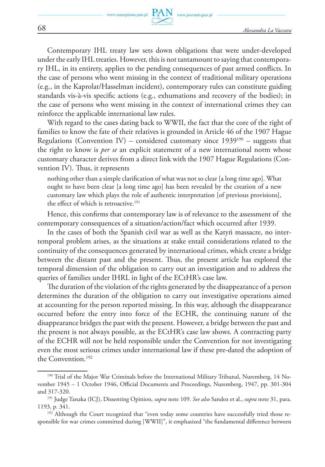Contemporary IHL treaty law sets down obligations that were under-developed under the early IHL treaties. However, this is not tantamount to saying that contemporary IHL, in its entirety, applies to the pending consequences of past armed conflicts. In the case of persons who went missing in the context of traditional military operations (e.g., in the Kaprolat/Hasselman incident), contemporary rules can constitute guiding standards vis-à-vis specific actions (e.g., exhumations and recovery of the bodies); in the case of persons who went missing in the context of international crimes they can reinforce the applicable international law rules.

With regard to the cases dating back to WWII, the fact that the core of the right of families to know the fate of their relatives is grounded in Article 46 of the 1907 Hague Regulations (Convention IV) – considered customary since  $1939^{190}$  – suggests that the right to know is *per se* an explicit statement of a new international norm whose customary character derives from a direct link with the 1907 Hague Regulations (Convention IV). Thus, it represents

nothing other than a simple clarification of what was not so clear [a long time ago]. What ought to have been clear [a long time ago] has been revealed by the creation of a new customary law which plays the role of authentic interpretation [of previous provisions], the effect of which is retroactive.<sup>191</sup>

Hence, this confirms that contemporary law is of relevance to the assessment of the contemporary consequences of a situation/action/fact which occurred after 1939.

In the cases of both the Spanish civil war as well as the Katyń massacre, no intertemporal problem arises, as the situations at stake entail considerations related to the continuity of the consequences generated by international crimes, which create a bridge between the distant past and the present. Thus, the present article has explored the temporal dimension of the obligation to carry out an investigation and to address the queries of families under IHRL in light of the ECtHR's case law.

The duration of the violation of the rights generated by the disappearance of a person determines the duration of the obligation to carry out investigative operations aimed at accounting for the person reported missing. In this way, although the disappearance occurred before the entry into force of the ECHR, the continuing nature of the disappearance bridges the past with the present. However, a bridge between the past and the present is not always possible, as the ECtHR's case law shows. A contracting party of the ECHR will not be held responsible under the Convention for not investigating even the most serious crimes under international law if these pre-dated the adoption of the Convention.192

<sup>&</sup>lt;sup>190</sup> Trial of the Major War Criminals before the International Military Tribunal, Nuremberg, 14 November 1945 – 1 October 1946, Official Documents and Proceedings, Nuremberg, 1947, pp. 301-304 and 317-320.

<sup>191</sup> Judge Tanaka (ICJ), Dissenting Opinion*, supra* note 109. *See also* Sandoz et al., *supra* note 31, para. 1193, p. 341.

<sup>&</sup>lt;sup>192</sup> Although the Court recognized that "even today some countries have successfully tried those responsible for war crimes committed during [WWII]", it emphasized "the fundamental difference between